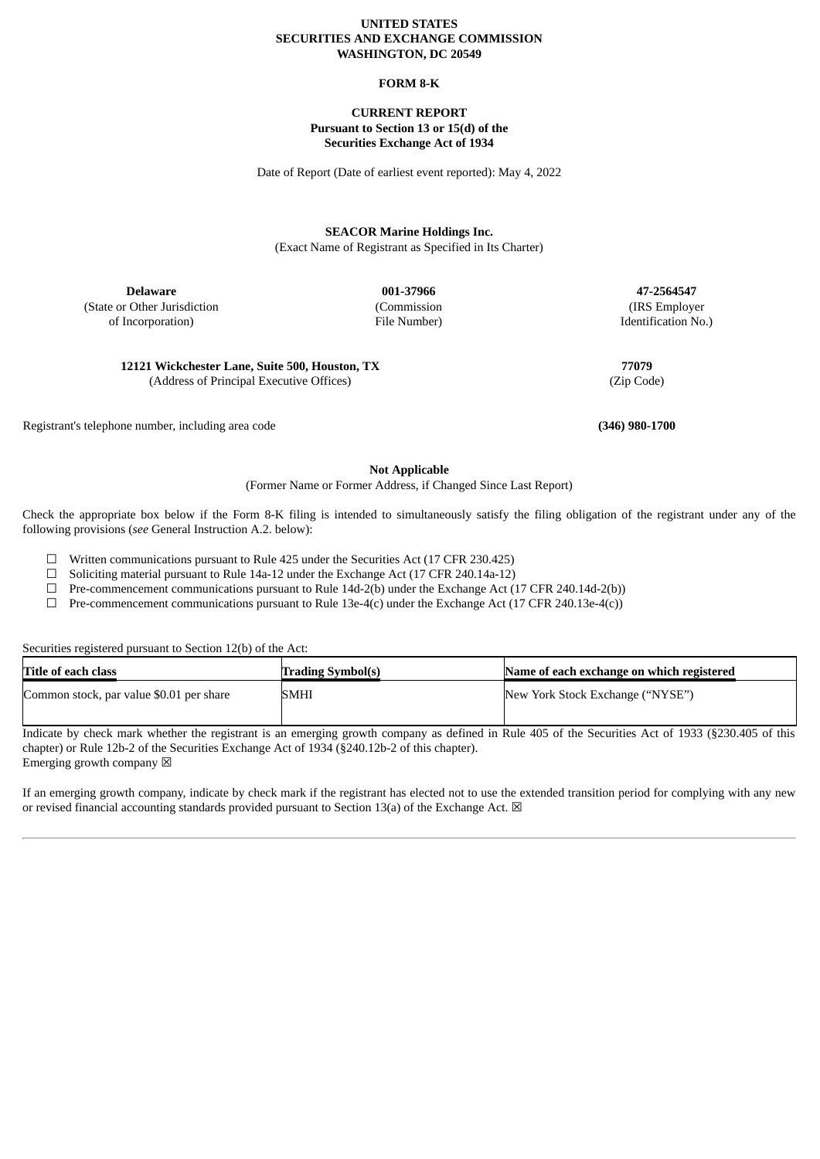### **UNITED STATES SECURITIES AND EXCHANGE COMMISSION WASHINGTON, DC 20549**

#### **FORM 8-K**

## **CURRENT REPORT Pursuant to Section 13 or 15(d) of the Securities Exchange Act of 1934**

Date of Report (Date of earliest event reported): May 4, 2022

**SEACOR Marine Holdings Inc.** (Exact Name of Registrant as Specified in Its Charter)

(State or Other Jurisdiction of Incorporation)

(Commission File Number)

**Delaware 001-37966 47-2564547** (IRS Employer Identification No.)

**12121 Wickchester Lane, Suite 500, Houston, TX 77079** (Address of Principal Executive Offices) (Zip Code)

Registrant's telephone number, including area code **(346) 980-1700**

**Not Applicable**

(Former Name or Former Address, if Changed Since Last Report)

Check the appropriate box below if the Form 8-K filing is intended to simultaneously satisfy the filing obligation of the registrant under any of the following provisions (*see* General Instruction A.2. below):

☐ Written communications pursuant to Rule 425 under the Securities Act (17 CFR 230.425)

 $\Box$  Soliciting material pursuant to Rule 14a-12 under the Exchange Act (17 CFR 240.14a-12)

 $\Box$  Pre-commencement communications pursuant to Rule 14d-2(b) under the Exchange Act (17 CFR 240.14d-2(b))

 $\Box$  Pre-commencement communications pursuant to Rule 13e-4(c) under the Exchange Act (17 CFR 240.13e-4(c))

Securities registered pursuant to Section 12(b) of the Act:

| Title of each class                      | <b>Trading Symbol(s)</b> | Name of each exchange on which registered |
|------------------------------------------|--------------------------|-------------------------------------------|
| Common stock, par value \$0.01 per share | <b>SMHI</b>              | New York Stock Exchange ("NYSE")          |

Indicate by check mark whether the registrant is an emerging growth company as defined in Rule 405 of the Securities Act of 1933 (§230.405 of this chapter) or Rule 12b-2 of the Securities Exchange Act of 1934 (§240.12b-2 of this chapter). Emerging growth company  $\boxtimes$ 

If an emerging growth company, indicate by check mark if the registrant has elected not to use the extended transition period for complying with any new or revised financial accounting standards provided pursuant to Section 13(a) of the Exchange Act.  $\boxtimes$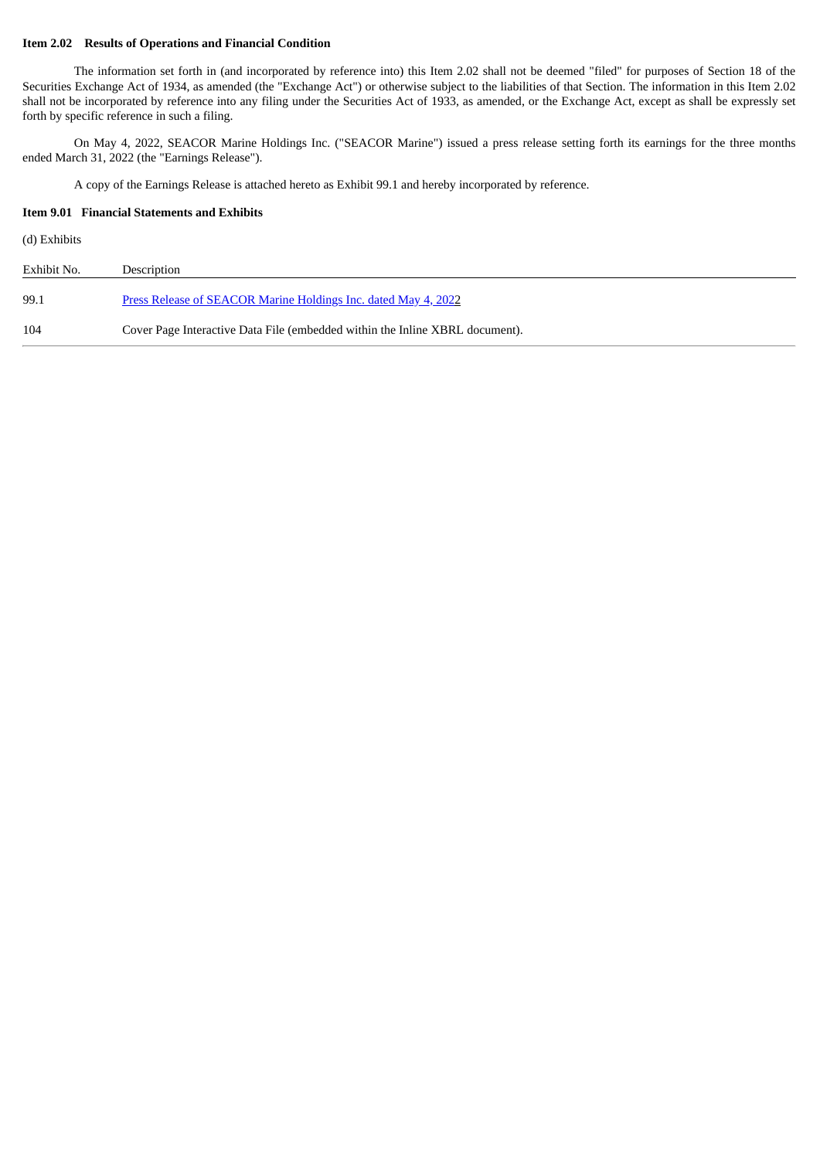# **Item 2.02 Results of Operations and Financial Condition**

The information set forth in (and incorporated by reference into) this Item 2.02 shall not be deemed "filed" for purposes of Section 18 of the Securities Exchange Act of 1934, as amended (the "Exchange Act") or otherwise subject to the liabilities of that Section. The information in this Item 2.02 shall not be incorporated by reference into any filing under the Securities Act of 1933, as amended, or the Exchange Act, except as shall be expressly set forth by specific reference in such a filing.

On May 4, 2022, SEACOR Marine Holdings Inc. ("SEACOR Marine") issued a press release setting forth its earnings for the three months ended March 31, 2022 (the "Earnings Release").

A copy of the Earnings Release is attached hereto as Exhibit 99.1 and hereby incorporated by reference.

#### **Item 9.01 Financial Statements and Exhibits**

#### (d) Exhibits

| Exhibit No. | Description                                                                  |
|-------------|------------------------------------------------------------------------------|
| 99.1        | Press Release of SEACOR Marine Holdings Inc. dated May 4, 2022               |
| 104         | Cover Page Interactive Data File (embedded within the Inline XBRL document). |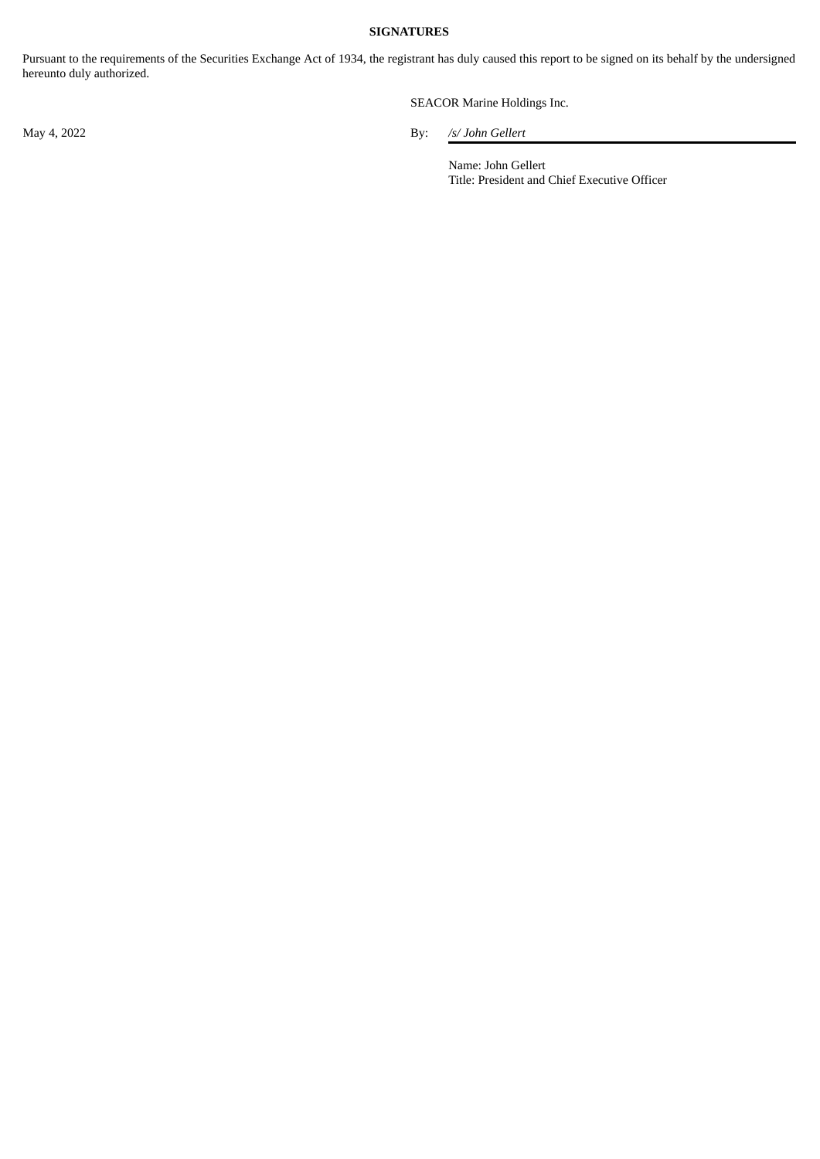# **SIGNATURES**

Pursuant to the requirements of the Securities Exchange Act of 1934, the registrant has duly caused this report to be signed on its behalf by the undersigned hereunto duly authorized.

SEACOR Marine Holdings Inc.

May 4, 2022 By: */s/ John Gellert*

Name: John Gellert Title: President and Chief Executive Officer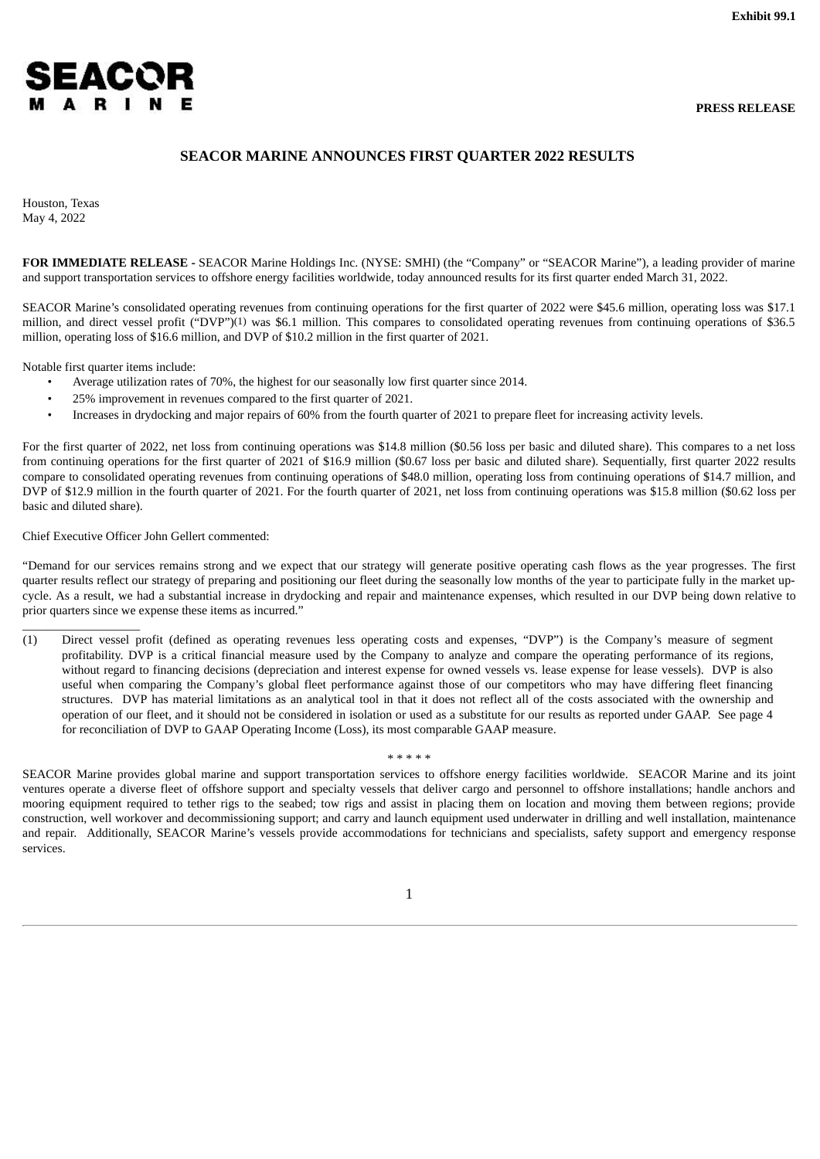# **SEACOR MARINE ANNOUNCES FIRST QUARTER 2022 RESULTS**

Houston, Texas May 4, 2022

**FOR IMMEDIATE RELEASE -** SEACOR Marine Holdings Inc. (NYSE: SMHI) (the "Company" or "SEACOR Marine"), a leading provider of marine and support transportation services to offshore energy facilities worldwide, today announced results for its first quarter ended March 31, 2022.

SEACOR Marine's consolidated operating revenues from continuing operations for the first quarter of 2022 were \$45.6 million, operating loss was \$17.1 million, and direct vessel profit ("DVP")(1) was \$6.1 million. This compares to consolidated operating revenues from continuing operations of \$36.5 million, operating loss of \$16.6 million, and DVP of \$10.2 million in the first quarter of 2021.

Notable first quarter items include:

<span id="page-3-0"></span>ΔCι

 $\_$ 

- Average utilization rates of 70%, the highest for our seasonally low first quarter since 2014.
- 25% improvement in revenues compared to the first quarter of 2021.
- Increases in drydocking and major repairs of 60% from the fourth quarter of 2021 to prepare fleet for increasing activity levels.

For the first quarter of 2022, net loss from continuing operations was \$14.8 million (\$0.56 loss per basic and diluted share). This compares to a net loss from continuing operations for the first quarter of 2021 of \$16.9 million (\$0.67 loss per basic and diluted share). Sequentially, first quarter 2022 results compare to consolidated operating revenues from continuing operations of \$48.0 million, operating loss from continuing operations of \$14.7 million, and DVP of \$12.9 million in the fourth quarter of 2021. For the fourth quarter of 2021, net loss from continuing operations was \$15.8 million (\$0.62 loss per basic and diluted share).

Chief Executive Officer John Gellert commented:

"Demand for our services remains strong and we expect that our strategy will generate positive operating cash flows as the year progresses. The first quarter results reflect our strategy of preparing and positioning our fleet during the seasonally low months of the year to participate fully in the market upcycle. As a result, we had a substantial increase in drydocking and repair and maintenance expenses, which resulted in our DVP being down relative to prior quarters since we expense these items as incurred."

(1) Direct vessel profit (defined as operating revenues less operating costs and expenses, "DVP") is the Company's measure of segment profitability. DVP is a critical financial measure used by the Company to analyze and compare the operating performance of its regions, without regard to financing decisions (depreciation and interest expense for owned vessels vs. lease expense for lease vessels). DVP is also useful when comparing the Company's global fleet performance against those of our competitors who may have differing fleet financing structures. DVP has material limitations as an analytical tool in that it does not reflect all of the costs associated with the ownership and operation of our fleet, and it should not be considered in isolation or used as a substitute for our results as reported under GAAP. See page 4 for reconciliation of DVP to GAAP Operating Income (Loss), its most comparable GAAP measure.

\* \* \* \* \*

SEACOR Marine provides global marine and support transportation services to offshore energy facilities worldwide. SEACOR Marine and its joint ventures operate a diverse fleet of offshore support and specialty vessels that deliver cargo and personnel to offshore installations; handle anchors and mooring equipment required to tether rigs to the seabed; tow rigs and assist in placing them on location and moving them between regions; provide construction, well workover and decommissioning support; and carry and launch equipment used underwater in drilling and well installation, maintenance and repair. Additionally, SEACOR Marine's vessels provide accommodations for technicians and specialists, safety support and emergency response services.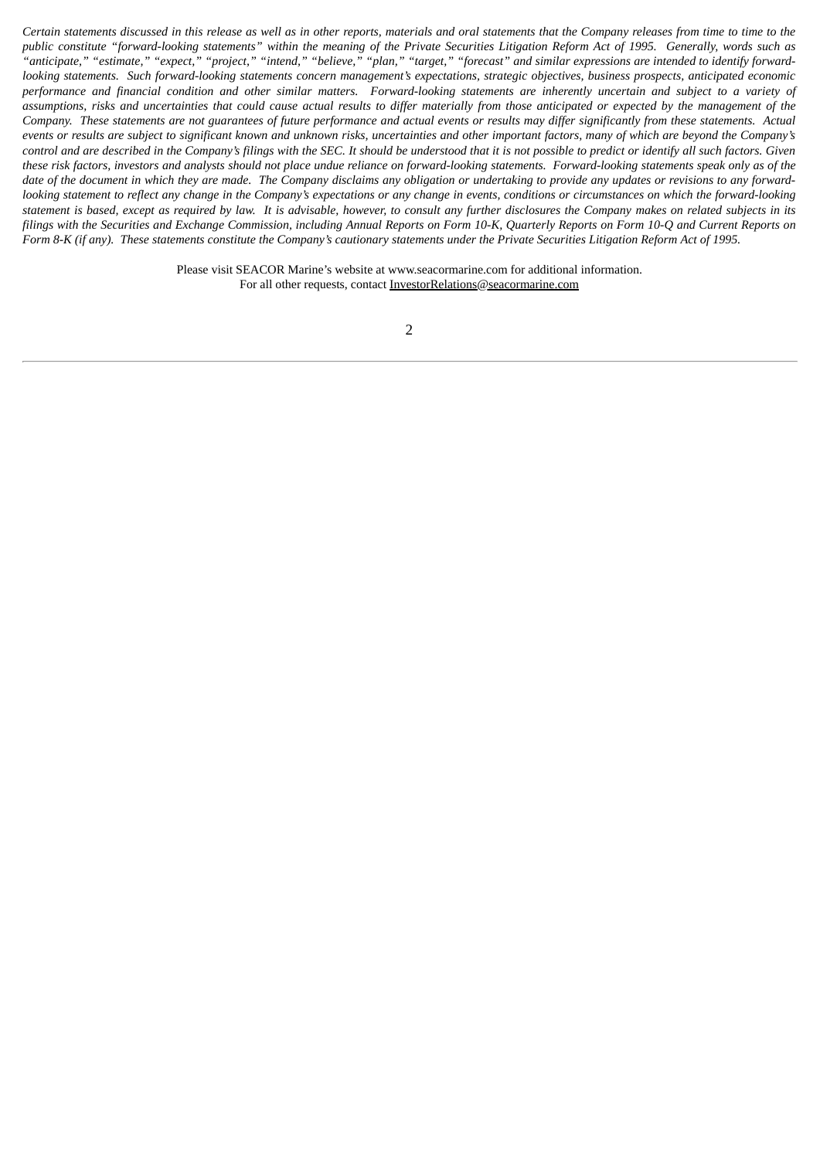Certain statements discussed in this release as well as in other reports, materials and oral statements that the Company releases from time to time to the public constitute "forward-looking statements" within the meaning of the Private Securities Litigation Reform Act of 1995. Generally, words such as "anticipate," "estimate," "expect," "project," "intend," "believe," "plan," "target," "forecast" and similar expressions are intended to identify forwardlooking statements. Such forward-looking statements concern management's expectations, strategic objectives, business prospects, anticipated economic performance and financial condition and other similar matters. Forward-looking statements are inherently uncertain and subject to a variety of assumptions, risks and uncertainties that could cause actual results to differ materially from those anticipated or expected by the management of the Company. These statements are not quarantees of future performance and actual events or results may differ significantly from these statements. Actual events or results are subject to significant known and unknown risks, uncertainties and other important factors, many of which are beyond the Company's control and are described in the Company's filings with the SEC. It should be understood that it is not possible to predict or identify all such factors. Given these risk factors, investors and analysts should not place undue reliance on forward-looking statements. Forward-looking statements speak only as of the date of the document in which they are made. The Company disclaims any obligation or undertaking to provide any updates or revisions to any forwardlooking statement to reflect any change in the Company's expectations or any change in events, conditions or circumstances on which the forward-looking statement is based, except as required by law. It is advisable, however, to consult any further disclosures the Company makes on related subjects in its filings with the Securities and Exchange Commission, including Annual Reports on Form 10-K, Quarterly Reports on Form 10-Q and Current Reports on Form 8-K (if any). These statements constitute the Company's cautionary statements under the Private Securities Litigation Reform Act of 1995.

> Please visit SEACOR Marine's website at www.seacormarine.com for additional information. For all other requests, contact InvestorRelations@seacormarine.com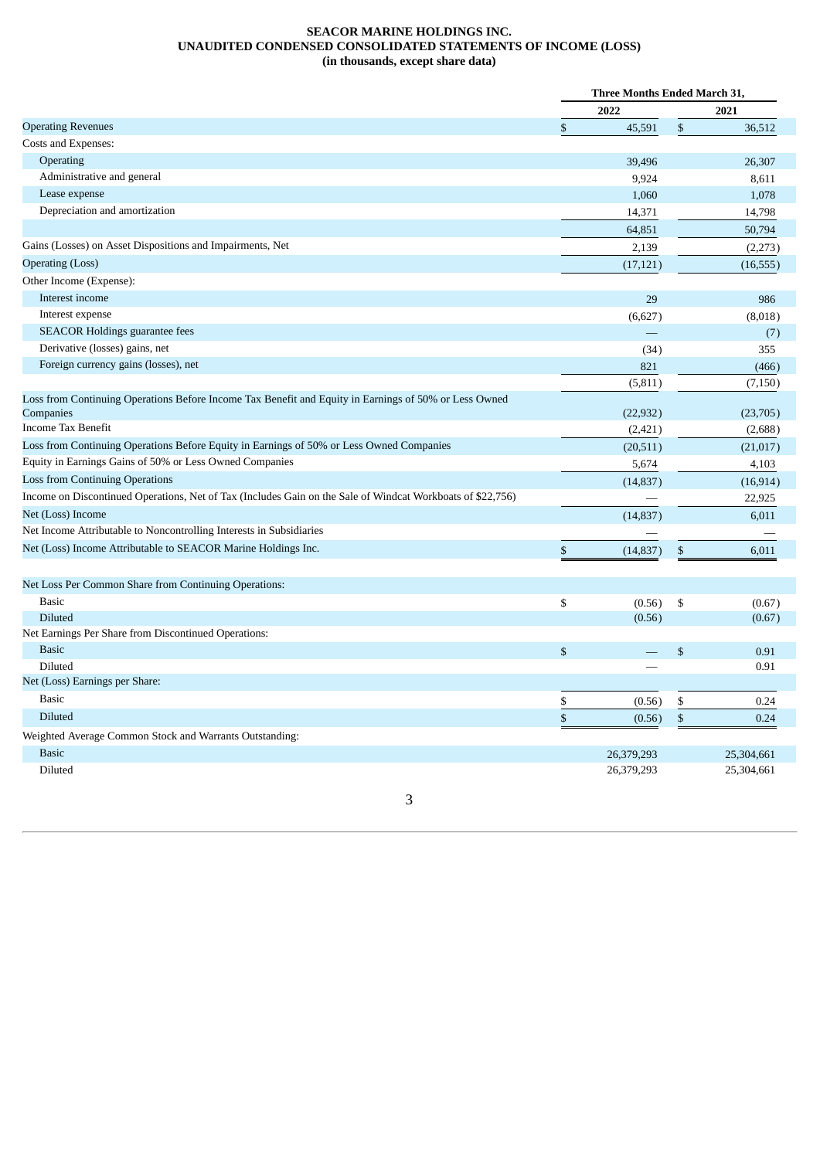### **SEACOR MARINE HOLDINGS INC. UNAUDITED CONDENSED CONSOLIDATED STATEMENTS OF INCOME (LOSS) (in thousands, except share data)**

|                                                                                                            | Three Months Ended March 31, |            |    |            |  |  |
|------------------------------------------------------------------------------------------------------------|------------------------------|------------|----|------------|--|--|
|                                                                                                            |                              | 2022       |    | 2021       |  |  |
| <b>Operating Revenues</b>                                                                                  | \$                           | 45,591     | \$ | 36,512     |  |  |
| Costs and Expenses:                                                                                        |                              |            |    |            |  |  |
| Operating                                                                                                  |                              | 39,496     |    | 26,307     |  |  |
| Administrative and general                                                                                 |                              | 9,924      |    | 8,611      |  |  |
| Lease expense                                                                                              |                              | 1,060      |    | 1,078      |  |  |
| Depreciation and amortization                                                                              |                              | 14,371     |    | 14,798     |  |  |
|                                                                                                            |                              | 64,851     |    | 50,794     |  |  |
| Gains (Losses) on Asset Dispositions and Impairments, Net                                                  |                              | 2,139      |    | (2,273)    |  |  |
| <b>Operating (Loss)</b>                                                                                    |                              | (17, 121)  |    | (16, 555)  |  |  |
| Other Income (Expense):                                                                                    |                              |            |    |            |  |  |
| Interest income                                                                                            |                              | 29         |    | 986        |  |  |
| Interest expense                                                                                           |                              | (6,627)    |    | (8,018)    |  |  |
| <b>SEACOR Holdings guarantee fees</b>                                                                      |                              |            |    | (7)        |  |  |
| Derivative (losses) gains, net                                                                             |                              | (34)       |    | 355        |  |  |
| Foreign currency gains (losses), net                                                                       |                              | 821        |    | (466)      |  |  |
|                                                                                                            |                              | (5, 811)   |    | (7,150)    |  |  |
| Loss from Continuing Operations Before Income Tax Benefit and Equity in Earnings of 50% or Less Owned      |                              |            |    |            |  |  |
| Companies                                                                                                  |                              | (22, 932)  |    | (23,705)   |  |  |
| <b>Income Tax Benefit</b>                                                                                  |                              | (2,421)    |    | (2,688)    |  |  |
| Loss from Continuing Operations Before Equity in Earnings of 50% or Less Owned Companies                   |                              | (20,511)   |    | (21, 017)  |  |  |
| Equity in Earnings Gains of 50% or Less Owned Companies                                                    |                              | 5,674      |    | 4,103      |  |  |
| <b>Loss from Continuing Operations</b>                                                                     |                              | (14, 837)  |    | (16, 914)  |  |  |
| Income on Discontinued Operations, Net of Tax (Includes Gain on the Sale of Windcat Workboats of \$22,756) |                              |            |    | 22,925     |  |  |
| Net (Loss) Income                                                                                          |                              | (14, 837)  |    | 6,011      |  |  |
| Net Income Attributable to Noncontrolling Interests in Subsidiaries                                        |                              |            |    |            |  |  |
| Net (Loss) Income Attributable to SEACOR Marine Holdings Inc.                                              | \$                           | (14, 837)  | \$ | 6,011      |  |  |
| Net Loss Per Common Share from Continuing Operations:                                                      |                              |            |    |            |  |  |
| <b>Basic</b>                                                                                               | \$                           | (0.56)     | \$ | (0.67)     |  |  |
| <b>Diluted</b>                                                                                             |                              | (0.56)     |    | (0.67)     |  |  |
| Net Earnings Per Share from Discontinued Operations:                                                       |                              |            |    |            |  |  |
| <b>Basic</b>                                                                                               | \$                           |            | \$ | 0.91       |  |  |
| Diluted                                                                                                    |                              |            |    | 0.91       |  |  |
| Net (Loss) Earnings per Share:                                                                             |                              |            |    |            |  |  |
| <b>Basic</b>                                                                                               | \$                           | (0.56)     | \$ | 0.24       |  |  |
| Diluted                                                                                                    | \$                           | (0.56)     | \$ | 0.24       |  |  |
| Weighted Average Common Stock and Warrants Outstanding:                                                    |                              |            |    |            |  |  |
| <b>Basic</b>                                                                                               |                              | 26,379,293 |    | 25,304,661 |  |  |
| Diluted                                                                                                    |                              | 26,379,293 |    | 25,304,661 |  |  |
|                                                                                                            |                              |            |    |            |  |  |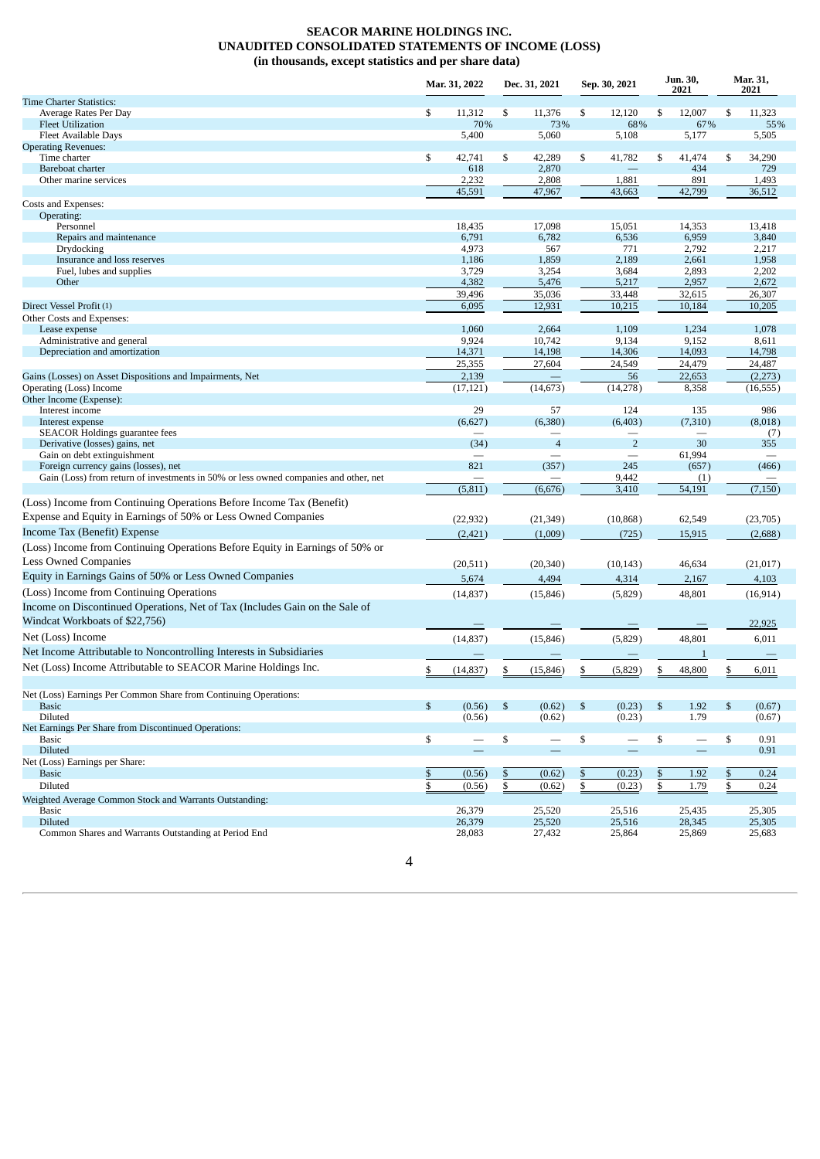## **SEACOR MARINE HOLDINGS INC. UNAUDITED CONSOLIDATED STATEMENTS OF INCOME (LOSS) (in thousands, except statistics and per share data)**

|                                                                                      | Mar. 31, 2022   |              | Dec. 31, 2021   | Sep. 30, 2021                  | Jun. 30,<br>2021               |              | Mar. 31,<br>2021 |
|--------------------------------------------------------------------------------------|-----------------|--------------|-----------------|--------------------------------|--------------------------------|--------------|------------------|
| <b>Time Charter Statistics:</b>                                                      |                 |              |                 |                                |                                |              |                  |
| Average Rates Per Day                                                                | \$<br>11,312    | \$           | 11,376          | \$<br>12,120                   | \$<br>12,007                   | \$           | 11,323           |
| <b>Fleet Utilization</b><br><b>Fleet Available Days</b>                              | 70%<br>5,400    |              | 73%<br>5,060    | 68%<br>5,108                   | 67%<br>5,177                   |              | 55%<br>5,505     |
| <b>Operating Revenues:</b>                                                           |                 |              |                 |                                |                                |              |                  |
| Time charter                                                                         | \$<br>42,741    | \$           | 42,289          | \$<br>41,782                   | \$<br>41,474                   | \$           | 34,290           |
| Bareboat charter                                                                     | 618             |              | 2,870           |                                | 434                            |              | 729              |
| Other marine services                                                                | 2,232<br>45,591 |              | 2,808           | 1,881                          | 891<br>42,799                  |              | 1,493<br>36,512  |
| Costs and Expenses:                                                                  |                 |              | 47,967          | 43,663                         |                                |              |                  |
| Operating:                                                                           |                 |              |                 |                                |                                |              |                  |
| Personnel                                                                            | 18,435          |              | 17,098          | 15,051                         | 14,353                         |              | 13,418           |
| Repairs and maintenance                                                              | 6,791           |              | 6,782           | 6,536                          | 6,959                          |              | 3,840            |
| Drydocking<br>Insurance and loss reserves                                            | 4,973<br>1,186  |              | 567<br>1,859    | 771<br>2,189                   | 2,792<br>2,661                 |              | 2,217<br>1,958   |
| Fuel, lubes and supplies                                                             | 3,729           |              | 3,254           | 3,684                          | 2,893                          |              | 2,202            |
| Other                                                                                | 4,382           |              | 5,476           | 5,217                          | 2,957                          |              | 2,672            |
|                                                                                      | 39,496          |              | 35,036          | 33,448                         | 32,615                         |              | 26,307           |
| Direct Vessel Profit (1)                                                             | 6,095           |              | 12,931          | 10,215                         | 10,184                         |              | 10,205           |
| Other Costs and Expenses:                                                            |                 |              |                 |                                |                                |              |                  |
| Lease expense<br>Administrative and general                                          | 1,060<br>9,924  |              | 2,664<br>10,742 | 1,109<br>9,134                 | 1,234<br>9,152                 |              | 1,078<br>8,611   |
| Depreciation and amortization                                                        | 14,371          |              | 14,198          | 14,306                         | 14,093                         |              | 14,798           |
|                                                                                      | 25,355          |              | 27,604          | 24,549                         | 24,479                         |              | 24,487           |
| Gains (Losses) on Asset Dispositions and Impairments, Net                            | 2,139           |              |                 | 56                             | 22,653                         |              | (2,273)          |
| Operating (Loss) Income                                                              | (17, 121)       |              | (14, 673)       | (14,278)                       | 8,358                          |              | (16, 555)        |
| Other Income (Expense):                                                              | 29              |              |                 |                                |                                |              | 986              |
| Interest income<br>Interest expense                                                  | (6,627)         |              | 57<br>(6,380)   | 124<br>(6, 403)                | 135<br>(7,310)                 |              | (8,018)          |
| <b>SEACOR Holdings guarantee fees</b>                                                |                 |              |                 |                                |                                |              | (7)              |
| Derivative (losses) gains, net                                                       | (34)            |              | $\overline{4}$  | $\overline{2}$                 | 30                             |              | 355              |
| Gain on debt extinguishment                                                          |                 |              |                 | $\overline{\phantom{0}}$       | 61,994                         |              |                  |
| Foreign currency gains (losses), net                                                 | 821             |              | (357)           | 245                            | (657)                          |              | (466)            |
| Gain (Loss) from return of investments in 50% or less owned companies and other, net | (5, 811)        |              | (6,676)         | 9,442<br>3,410                 | (1)<br>54,191                  |              | (7, 150)         |
| (Loss) Income from Continuing Operations Before Income Tax (Benefit)                 |                 |              |                 |                                |                                |              |                  |
| Expense and Equity in Earnings of 50% or Less Owned Companies                        |                 |              |                 |                                |                                |              |                  |
| Income Tax (Benefit) Expense                                                         | (22, 932)       |              | (21, 349)       | (10, 868)                      | 62,549                         |              | (23,705)         |
|                                                                                      | (2, 421)        |              | (1,009)         | (725)                          | 15,915                         |              | (2,688)          |
| (Loss) Income from Continuing Operations Before Equity in Earnings of 50% or         |                 |              |                 |                                |                                |              |                  |
| <b>Less Owned Companies</b>                                                          | (20, 511)       |              | (20, 340)       | (10, 143)                      | 46,634                         |              | (21, 017)        |
| Equity in Earnings Gains of 50% or Less Owned Companies                              | 5,674           |              | 4,494           | 4,314                          | 2,167                          |              | 4,103            |
| (Loss) Income from Continuing Operations                                             | (14, 837)       |              | (15, 846)       | (5,829)                        | 48,801                         |              | (16, 914)        |
| Income on Discontinued Operations, Net of Tax (Includes Gain on the Sale of          |                 |              |                 |                                |                                |              |                  |
| Windcat Workboats of \$22,756)                                                       |                 |              |                 |                                |                                |              | 22,925           |
| Net (Loss) Income                                                                    | (14, 837)       |              | (15, 846)       | (5,829)                        | 48,801                         |              | 6,011            |
| Net Income Attributable to Noncontrolling Interests in Subsidiaries                  |                 |              |                 |                                | $\mathbf{1}$                   |              |                  |
| Net (Loss) Income Attributable to SEACOR Marine Holdings Inc.                        |                 |              |                 |                                |                                |              |                  |
|                                                                                      | (14, 837)       | \$           | (15, 846)       | \$<br>(5,829)                  | 48,800                         | \$           | 6,011            |
| Net (Loss) Earnings Per Common Share from Continuing Operations:                     |                 |              |                 |                                |                                |              |                  |
| Basic                                                                                | \$<br>(0.56)    | $\mathbb{S}$ | (0.62)          | \$<br>(0.23)                   | \$<br>1.92                     | $\mathbb{S}$ | (0.67)           |
| Diluted                                                                              | (0.56)          |              | (0.62)          | (0.23)                         | 1.79                           |              | (0.67)           |
| Net Earnings Per Share from Discontinued Operations:                                 |                 |              |                 |                                |                                |              |                  |
| Basic<br>Diluted                                                                     | \$              | \$           | $\qquad \qquad$ | \$<br>$\overline{\phantom{m}}$ | \$<br>$\overline{\phantom{0}}$ | \$           | 0.91<br>0.91     |
| Net (Loss) Earnings per Share:                                                       |                 |              |                 |                                |                                |              |                  |
| <b>Basic</b>                                                                         | \$<br>(0.56)    | \$           | (0.62)          | \$<br>(0.23)                   | \$<br>1.92                     | \$           | 0.24             |
| Diluted                                                                              | (0.56)          | \$           | (0.62)          | \$<br>(0.23)                   | \$<br>1.79                     | \$           | 0.24             |
| Weighted Average Common Stock and Warrants Outstanding:                              |                 |              |                 |                                |                                |              |                  |
| <b>Basic</b>                                                                         | 26,379          |              | 25,520          | 25,516                         | 25,435                         |              | 25,305           |
| Diluted                                                                              | 26,379          |              | 25,520          | 25,516                         | 28,345                         |              | 25,305           |
| Common Shares and Warrants Outstanding at Period End                                 | 28,083          |              | 27,432          | 25,864                         | 25,869                         |              | 25,683           |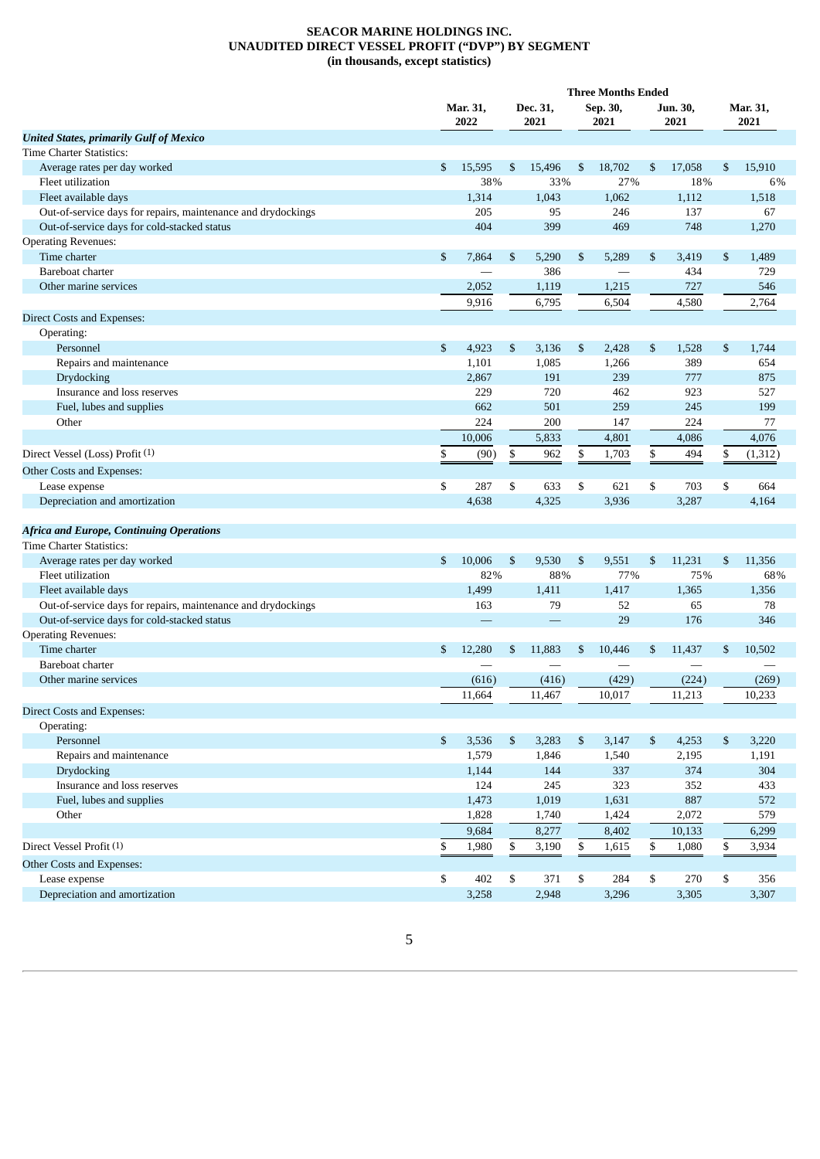### **SEACOR MARINE HOLDINGS INC. UNAUDITED DIRECT VESSEL PROFIT ("DVP") BY SEGMENT (in thousands, except statistics)**

|                                                              |                  |                  | <b>Three Months Ended</b> |                         |        |                  |
|--------------------------------------------------------------|------------------|------------------|---------------------------|-------------------------|--------|------------------|
|                                                              | Mar. 31,<br>2022 | Dec. 31,<br>2021 | Sep. 30,<br>2021          | <b>Jun. 30,</b><br>2021 |        | Mar. 31,<br>2021 |
| <b>United States, primarily Gulf of Mexico</b>               |                  |                  |                           |                         |        |                  |
| <b>Time Charter Statistics:</b>                              |                  |                  |                           |                         |        |                  |
| Average rates per day worked                                 | \$<br>15,595     | \$<br>15,496     | \$<br>18,702              | \$                      | 17,058 | \$<br>15,910     |
| Fleet utilization                                            | 38%              | 33%              | 27%                       |                         | 18%    | 6%               |
| Fleet available days                                         | 1,314            | 1,043            | 1,062                     |                         | 1,112  | 1,518            |
| Out-of-service days for repairs, maintenance and drydockings | 205              | 95               | 246                       |                         | 137    | 67               |
| Out-of-service days for cold-stacked status                  | 404              | 399              | 469                       |                         | 748    | 1,270            |
| <b>Operating Revenues:</b>                                   |                  |                  |                           |                         |        |                  |
| Time charter                                                 | \$<br>7,864      | \$<br>5,290      | \$<br>5,289               | \$                      | 3,419  | \$<br>1,489      |
| Bareboat charter                                             |                  | 386              |                           |                         | 434    | 729              |
| Other marine services                                        | 2,052            | 1,119            | 1,215                     |                         | 727    | 546              |
|                                                              | 9,916            | 6,795            | 6,504                     |                         | 4,580  | 2,764            |
| Direct Costs and Expenses:                                   |                  |                  |                           |                         |        |                  |
| Operating:                                                   |                  |                  |                           |                         |        |                  |
| Personnel                                                    | \$<br>4,923      | \$<br>3,136      | \$<br>2,428               | \$                      | 1,528  | \$<br>1,744      |
| Repairs and maintenance                                      | 1,101            | 1,085            | 1,266                     |                         | 389    | 654              |
| Drydocking                                                   | 2,867            | 191              | 239                       |                         | 777    | 875              |
| Insurance and loss reserves                                  | 229              | 720              | 462                       |                         | 923    | 527              |
| Fuel, lubes and supplies                                     | 662              | 501              | 259                       |                         | 245    | 199              |
| Other                                                        | 224              | 200              | 147                       |                         | 224    | 77               |
|                                                              |                  |                  |                           |                         |        |                  |
|                                                              | 10,006           | 5,833            | 4,801                     |                         | 4,086  | 4,076            |
| Direct Vessel (Loss) Profit (1)                              | \$<br>(90)       | \$<br>962        | \$<br>1,703               | \$                      | 494    | \$<br>(1, 312)   |
| Other Costs and Expenses:                                    |                  |                  |                           |                         |        |                  |
| Lease expense                                                | \$<br>287        | \$<br>633        | \$<br>621                 | \$                      | 703    | \$<br>664        |
| Depreciation and amortization                                | 4,638            | 4,325            | 3,936                     |                         | 3,287  | 4,164            |
|                                                              |                  |                  |                           |                         |        |                  |
| <b>Africa and Europe, Continuing Operations</b>              |                  |                  |                           |                         |        |                  |
| <b>Time Charter Statistics:</b>                              |                  |                  |                           |                         |        |                  |
| Average rates per day worked                                 | \$<br>10,006     | \$<br>9,530      | \$<br>9,551               | \$                      | 11,231 | \$<br>11,356     |
| Fleet utilization                                            | 82%              | 88%              | 77%                       |                         | 75%    | 68%              |
| Fleet available days                                         | 1,499            | 1,411            | 1,417                     |                         | 1,365  | 1,356            |
| Out-of-service days for repairs, maintenance and drydockings | 163              | 79               | 52                        |                         | 65     | 78               |
| Out-of-service days for cold-stacked status                  |                  |                  | 29                        |                         | 176    | 346              |
| <b>Operating Revenues:</b>                                   |                  |                  |                           |                         |        |                  |
| Time charter                                                 | \$<br>12,280     | \$<br>11,883     | \$<br>10,446              | \$                      | 11,437 | \$<br>10,502     |
| Bareboat charter                                             |                  |                  |                           |                         |        |                  |
| Other marine services                                        | (616)            | (416)            | (429)                     |                         | (224)  | (269)            |
|                                                              | 11,664           | 11,467           | 10,017                    |                         | 11,213 | 10,233           |
| <b>Direct Costs and Expenses:</b>                            |                  |                  |                           |                         |        |                  |
| Operating:                                                   |                  |                  |                           |                         |        |                  |
| Personnel                                                    | \$<br>3,536      | \$<br>3,283      | \$<br>3,147               | \$                      | 4,253  | \$<br>3,220      |
| Repairs and maintenance                                      | 1,579            | 1,846            | 1,540                     |                         | 2,195  | 1,191            |
| Drydocking                                                   | 1,144            | 144              | 337                       |                         | 374    | 304              |
| Insurance and loss reserves                                  | 124              | 245              | 323                       |                         | 352    | 433              |
| Fuel, lubes and supplies                                     | 1,473            | 1,019            | 1,631                     |                         | 887    | 572              |
| Other                                                        | 1,828            | 1,740            | 1,424                     |                         | 2,072  | 579              |
|                                                              |                  |                  |                           |                         |        |                  |
|                                                              | 9,684            | 8,277            | 8,402                     |                         | 10,133 | 6,299            |
| Direct Vessel Profit (1)                                     | \$<br>1,980      | \$<br>3,190      | \$<br>1,615               | \$                      | 1,080  | \$<br>3,934      |
| Other Costs and Expenses:                                    |                  |                  |                           |                         |        |                  |
| Lease expense                                                | \$<br>402        | \$<br>371        | \$<br>284                 | \$                      | 270    | \$<br>356        |
| Depreciation and amortization                                | 3,258            | 2,948            | 3,296                     |                         | 3,305  | 3,307            |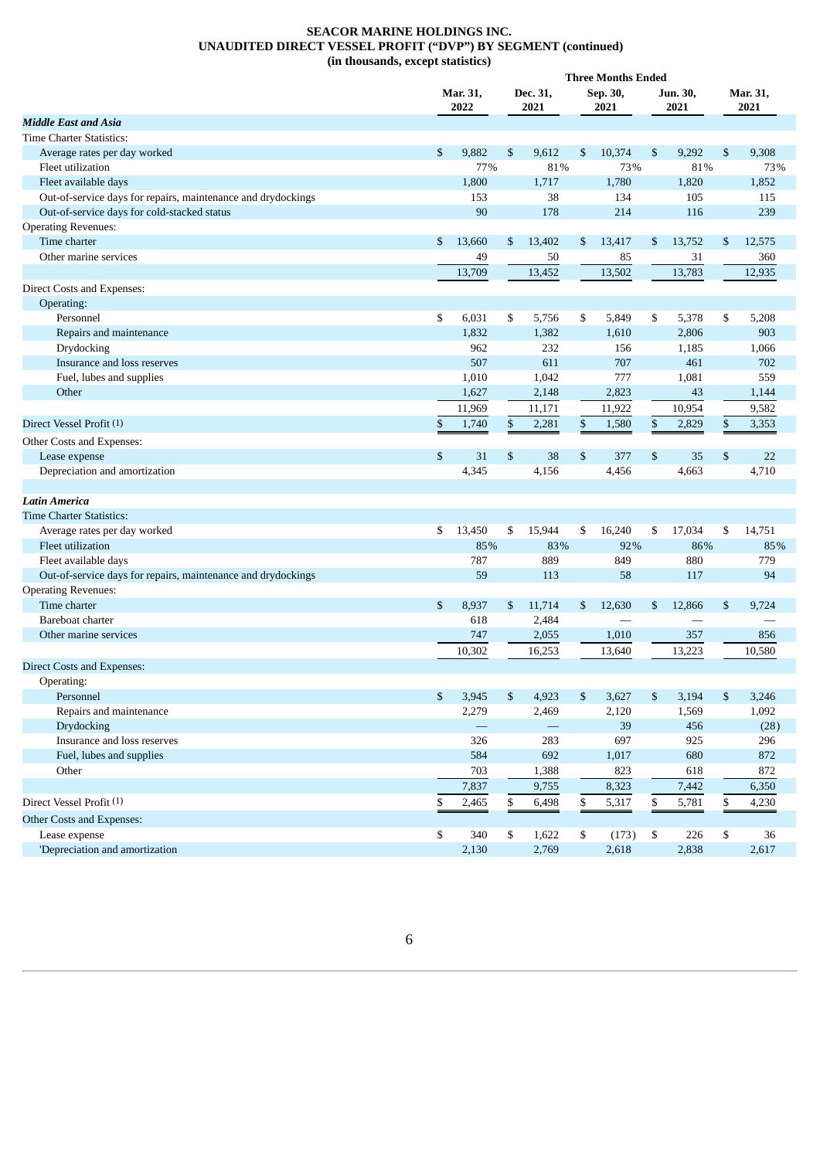### **SEACOR MARINE HOLDINGS INC. UNAUDITED DIRECT VESSEL PROFIT ("DVP") BY SEGMENT (continued) (in thousands, except statistics)**

|                                                              | <b>Three Months Ended</b> |    |                  |    |                  |    |                  |    |                  |  |
|--------------------------------------------------------------|---------------------------|----|------------------|----|------------------|----|------------------|----|------------------|--|
|                                                              | Mar. 31,<br>2022          |    | Dec. 31,<br>2021 |    | Sep. 30,<br>2021 |    | Jun. 30,<br>2021 |    | Mar. 31,<br>2021 |  |
| <b>Middle East and Asia</b>                                  |                           |    |                  |    |                  |    |                  |    |                  |  |
| <b>Time Charter Statistics:</b>                              |                           |    |                  |    |                  |    |                  |    |                  |  |
| Average rates per day worked                                 | \$<br>9,882               | \$ | 9,612            | \$ | 10,374           | \$ | 9,292            | \$ | 9,308            |  |
| Fleet utilization                                            | 77%                       |    | 81%              |    | 73%              |    | 81%              |    | 73%              |  |
| Fleet available days                                         | 1,800                     |    | 1,717            |    | 1,780            |    | 1,820            |    | 1,852            |  |
| Out-of-service days for repairs, maintenance and drydockings | 153                       |    | 38               |    | 134              |    | 105              |    | 115              |  |
| Out-of-service days for cold-stacked status                  | 90                        |    | 178              |    | 214              |    | 116              |    | 239              |  |
| <b>Operating Revenues:</b>                                   |                           |    |                  |    |                  |    |                  |    |                  |  |
| Time charter                                                 | \$<br>13,660              | \$ | 13,402           | \$ | 13,417           | \$ | 13,752           | \$ | 12,575           |  |
| Other marine services                                        | 49                        |    | 50               |    | 85               |    | 31               |    | 360              |  |
|                                                              | 13,709                    |    | 13,452           |    | 13,502           |    | 13,783           |    | 12,935           |  |
| Direct Costs and Expenses:                                   |                           |    |                  |    |                  |    |                  |    |                  |  |
| Operating:                                                   |                           |    |                  |    |                  |    |                  |    |                  |  |
| Personnel                                                    | \$<br>6,031               | \$ | 5,756            | \$ | 5,849            | \$ | 5,378            | \$ | 5,208            |  |
| Repairs and maintenance                                      | 1,832                     |    | 1,382            |    | 1,610            |    | 2,806            |    | 903              |  |
| Drydocking                                                   | 962                       |    | 232              |    | 156              |    | 1,185            |    | 1,066            |  |
| Insurance and loss reserves                                  | 507                       |    | 611              |    | 707              |    | 461              |    | 702              |  |
| Fuel, lubes and supplies                                     | 1,010                     |    | 1,042            |    | 777              |    | 1,081            |    | 559              |  |
| Other                                                        | 1,627                     |    | 2,148            |    | 2,823            |    | 43               |    | 1,144            |  |
|                                                              | 11,969                    |    | 11,171           |    | 11,922           |    | 10,954           |    | 9,582            |  |
| Direct Vessel Profit (1)                                     | \$<br>1,740               | \$ | 2,281            | \$ | 1,580            | \$ | 2,829            | \$ | 3,353            |  |
| Other Costs and Expenses:                                    |                           |    |                  |    |                  |    |                  |    |                  |  |
| Lease expense                                                | \$<br>31                  | \$ | 38               | \$ | 377              | \$ | 35               | \$ | 22               |  |
| Depreciation and amortization                                | 4,345                     |    | 4,156            |    | 4,456            |    | 4,663            |    | 4,710            |  |
|                                                              |                           |    |                  |    |                  |    |                  |    |                  |  |
| <b>Latin America</b>                                         |                           |    |                  |    |                  |    |                  |    |                  |  |
| <b>Time Charter Statistics:</b>                              |                           |    |                  |    |                  |    |                  |    |                  |  |
| Average rates per day worked                                 | \$<br>13,450              | \$ | 15,944           | \$ | 16,240           | \$ | 17,034           | \$ | 14,751           |  |
| Fleet utilization                                            | 85%                       |    | 83%              |    | 92%              |    | 86%              |    | 85%              |  |
| Fleet available days                                         | 787                       |    | 889              |    | 849              |    | 880              |    | 779              |  |
| Out-of-service days for repairs, maintenance and drydockings | 59                        |    | 113              |    | 58               |    | 117              |    | 94               |  |
| <b>Operating Revenues:</b>                                   |                           |    |                  |    |                  |    |                  |    |                  |  |
| Time charter                                                 | \$<br>8,937               | \$ | 11,714           | \$ | 12,630           | \$ | 12,866           | \$ | 9,724            |  |
| Bareboat charter                                             | 618                       |    | 2,484            |    |                  |    |                  |    |                  |  |
| Other marine services                                        | 747                       |    | 2,055            |    | 1,010            |    | 357              |    | 856              |  |
|                                                              | 10,302                    |    | 16,253           |    | 13,640           |    | 13,223           |    | 10,580           |  |
| Direct Costs and Expenses:                                   |                           |    |                  |    |                  |    |                  |    |                  |  |
| Operating:                                                   |                           |    |                  |    |                  |    |                  |    |                  |  |
| Personnel                                                    | \$<br>3,945               | \$ | 4,923            | \$ | 3,627            | \$ | 3,194            | \$ | 3,246            |  |
| Repairs and maintenance                                      | 2,279                     |    | 2,469            |    | 2,120            |    | 1,569            |    | 1,092            |  |
| Drydocking                                                   |                           |    |                  |    | 39               |    | 456              |    | (28)             |  |
| Insurance and loss reserves                                  | 326                       |    | 283              |    | 697              |    | 925              |    | 296              |  |
| Fuel, lubes and supplies                                     | 584                       |    | 692              |    | 1,017            |    | 680              |    | 872              |  |
| Other                                                        | 703                       |    | 1,388            |    | 823              |    | 618              |    | 872              |  |
|                                                              | 7,837                     |    | 9,755            |    | 8,323            |    | 7,442            |    | 6,350            |  |
| Direct Vessel Profit (1)                                     | \$<br>2,465               | \$ | 6,498            | \$ | 5,317            | \$ | 5,781            | \$ | 4,230            |  |
| Other Costs and Expenses:                                    |                           |    |                  |    |                  |    |                  |    |                  |  |
| Lease expense                                                | \$<br>340                 | \$ | 1,622            | \$ | (173)            | \$ | 226              | \$ | 36               |  |
| 'Depreciation and amortization                               | 2,130                     |    | 2,769            |    | 2,618            |    | 2,838            |    | 2,617            |  |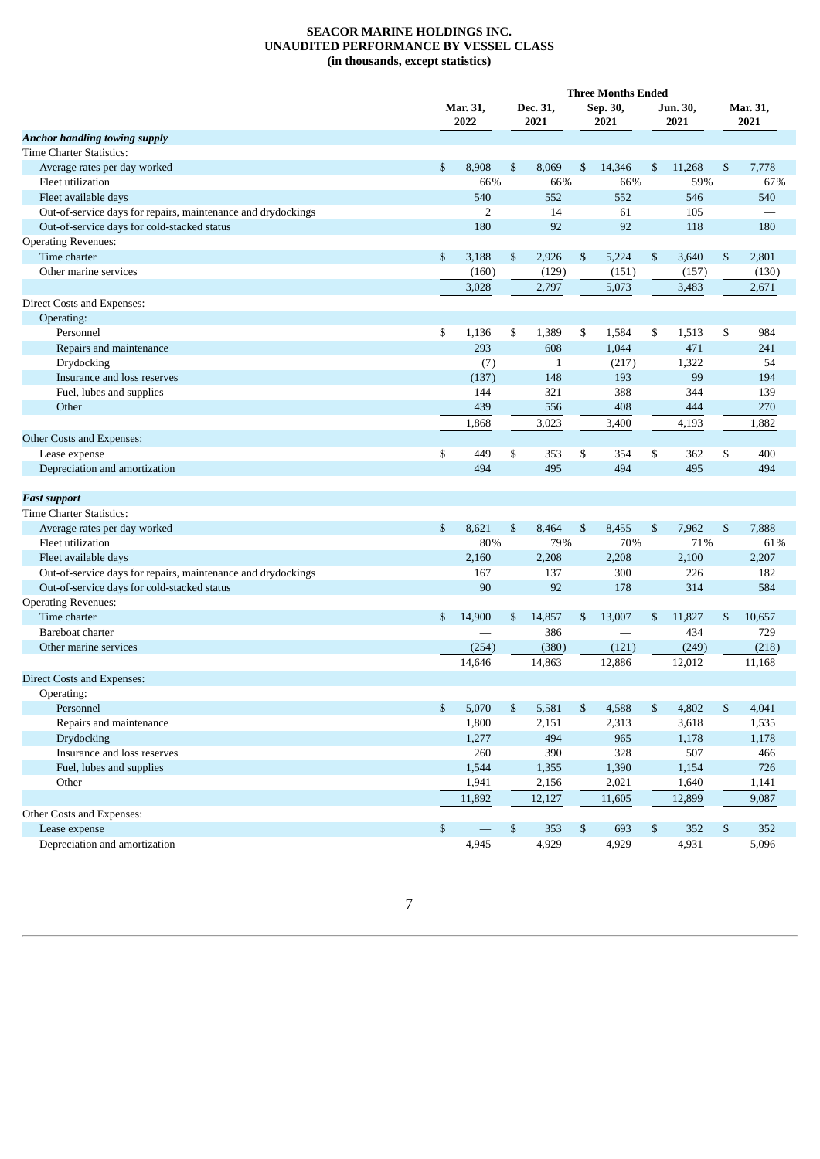## **SEACOR MARINE HOLDINGS INC. UNAUDITED PERFORMANCE BY VESSEL CLASS (in thousands, except statistics)**

|                                                              |                  |                           |                  | <b>Three Months Ended</b> |                  |                |                  |
|--------------------------------------------------------------|------------------|---------------------------|------------------|---------------------------|------------------|----------------|------------------|
|                                                              | Mar. 31,<br>2022 |                           | Dec. 31,<br>2021 | Sep. 30,<br>2021          | Jun. 30,<br>2021 |                | Mar. 31,<br>2021 |
| <b>Anchor handling towing supply</b>                         |                  |                           |                  |                           |                  |                |                  |
| <b>Time Charter Statistics:</b>                              |                  |                           |                  |                           |                  |                |                  |
| Average rates per day worked                                 | \$<br>8,908      | \$                        | 8,069            | \$<br>14,346              | \$<br>11,268     | \$             | 7,778            |
| Fleet utilization                                            | 66%              |                           | 66%              | 66%                       | 59%              |                | 67%              |
| Fleet available days                                         | 540              |                           | 552              | 552                       | 546              |                | 540              |
| Out-of-service days for repairs, maintenance and drydockings | $\overline{2}$   |                           | 14               | 61                        | 105              |                |                  |
| Out-of-service days for cold-stacked status                  | 180              |                           | 92               | 92                        | 118              |                | 180              |
| <b>Operating Revenues:</b>                                   |                  |                           |                  |                           |                  |                |                  |
| Time charter                                                 | \$<br>3,188      | $\mathfrak{S}$            | 2,926            | \$<br>5,224               | \$<br>3,640      | $\mathfrak{S}$ | 2,801            |
| Other marine services                                        | (160)            |                           | (129)            | (151)                     | (157)            |                | (130)            |
|                                                              | 3,028            |                           | 2,797            | 5,073                     | 3,483            |                | 2,671            |
| Direct Costs and Expenses:                                   |                  |                           |                  |                           |                  |                |                  |
| Operating:                                                   |                  |                           |                  |                           |                  |                |                  |
| Personnel                                                    | \$<br>1,136      | \$                        | 1,389            | \$<br>1,584               | \$<br>1,513      | \$             | 984              |
| Repairs and maintenance                                      | 293              |                           | 608              | 1,044                     | 471              |                | 241              |
| Drydocking                                                   | (7)              |                           | 1                | (217)                     | 1,322            |                | 54               |
| Insurance and loss reserves                                  | (137)            |                           | 148              | 193                       | 99               |                | 194              |
| Fuel, lubes and supplies                                     | 144              |                           | 321              | 388                       | 344              |                | 139              |
| Other                                                        | 439              |                           | 556              | 408                       | 444              |                | 270              |
|                                                              | 1,868            |                           | 3,023            | 3,400                     | 4,193            |                | 1,882            |
| Other Costs and Expenses:                                    |                  |                           |                  |                           |                  |                |                  |
| Lease expense                                                | \$<br>449        | \$                        | 353              | \$<br>354                 | \$<br>362        | \$             | 400              |
| Depreciation and amortization                                | 494              |                           | 495              | 494                       | 495              |                | 494              |
|                                                              |                  |                           |                  |                           |                  |                |                  |
| <b>Fast support</b>                                          |                  |                           |                  |                           |                  |                |                  |
| <b>Time Charter Statistics:</b>                              |                  |                           |                  |                           |                  |                |                  |
| Average rates per day worked                                 | \$<br>8,621      | \$                        | 8,464            | \$<br>8,455               | \$<br>7,962      | \$             | 7,888            |
| Fleet utilization                                            | 80%              |                           | 79%              | 70%                       | 71%              |                | 61%              |
| Fleet available days                                         | 2,160            |                           | 2,208            | 2,208                     | 2,100            |                | 2,207            |
| Out-of-service days for repairs, maintenance and drydockings | 167              |                           | 137              | 300                       | 226              |                | 182              |
| Out-of-service days for cold-stacked status                  | 90               |                           | 92               | 178                       | 314              |                | 584              |
| <b>Operating Revenues:</b>                                   |                  |                           |                  |                           |                  |                |                  |
| Time charter                                                 | \$<br>14,900     | \$                        | 14,857           | \$<br>13,007              | \$<br>11,827     | \$             | 10,657           |
| Bareboat charter                                             |                  |                           | 386              |                           | 434              |                | 729              |
| Other marine services                                        | (254)            |                           | (380)            | (121)                     | (249)            |                | (218)            |
|                                                              | 14,646           |                           | 14,863           | 12,886                    | 12,012           |                | 11,168           |
| Direct Costs and Expenses:                                   |                  |                           |                  |                           |                  |                |                  |
| Operating:                                                   |                  |                           |                  |                           |                  |                |                  |
| Personnel                                                    | 5,070            | \$                        | 5,581            | \$<br>4,588               | \$<br>4,802      | \$             | 4,041            |
| Repairs and maintenance                                      | 1,800            |                           | 2,151            | 2,313                     | 3,618            |                | 1,535            |
| Drydocking                                                   | 1,277            |                           | 494              | 965                       | 1,178            |                | 1,178            |
| Insurance and loss reserves                                  | 260              |                           | 390              | 328                       | 507              |                | 466              |
| Fuel, lubes and supplies                                     | 1,544            |                           | 1,355            | 1,390                     | 1,154            |                | 726              |
| Other                                                        | 1,941            |                           | 2,156            | 2,021                     | 1,640            |                | 1,141            |
|                                                              | 11,892           |                           | 12,127           | 11,605                    | 12,899           |                | 9,087            |
| Other Costs and Expenses:                                    |                  |                           |                  |                           |                  |                |                  |
| Lease expense                                                | \$               | $\boldsymbol{\mathsf{S}}$ | 353              | \$<br>693                 | \$<br>352        | $\$$           | 352              |
| Depreciation and amortization                                | 4,945            |                           | 4,929            | 4,929                     |                  |                | 5,096            |
|                                                              |                  |                           |                  |                           | 4,931            |                |                  |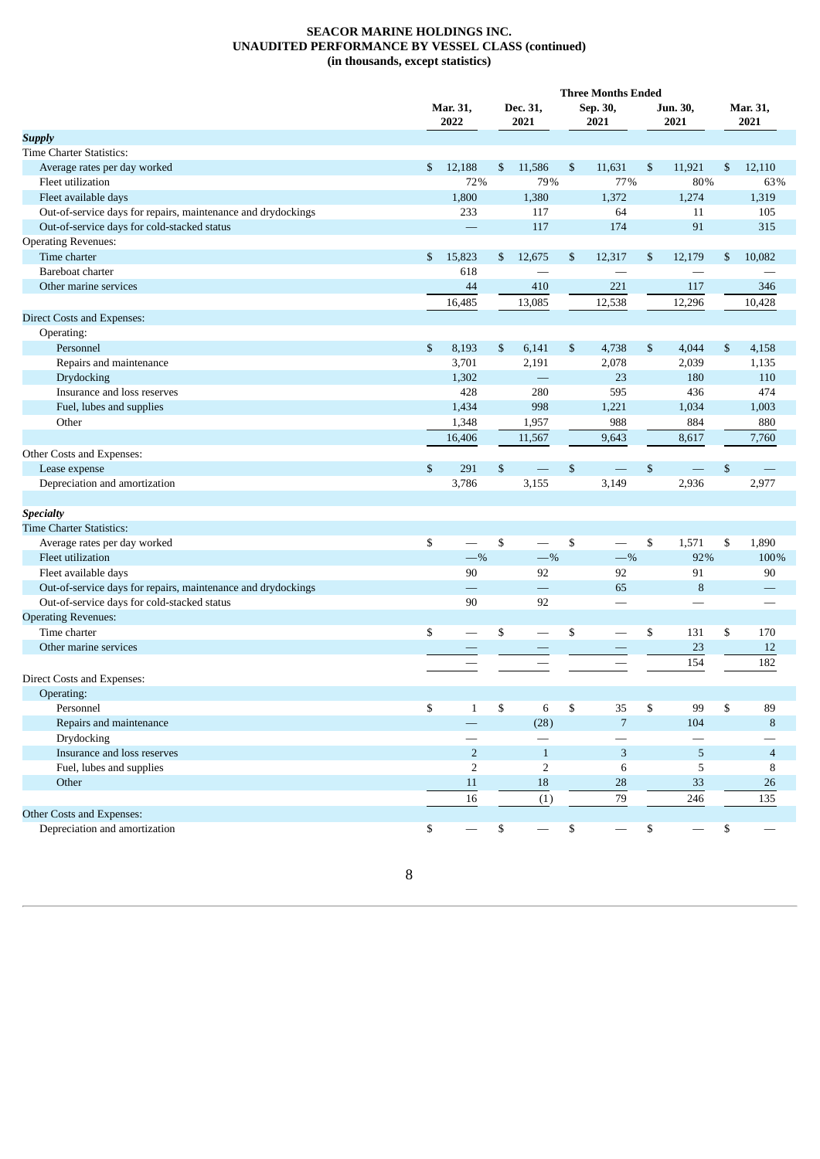#### **SEACOR MARINE HOLDINGS INC. UNAUDITED PERFORMANCE BY VESSEL CLASS (continued) (in thousands, except statistics)**

|                                                              |                          |               |                          | <b>Three Months Ended</b> |                  |    |                  |
|--------------------------------------------------------------|--------------------------|---------------|--------------------------|---------------------------|------------------|----|------------------|
|                                                              | Mar. 31,<br>2022         |               | Dec. 31,<br>2021         | Sep. 30,<br>2021          | Jun. 30,<br>2021 |    | Mar. 31,<br>2021 |
| <b>Supply</b>                                                |                          |               |                          |                           |                  |    |                  |
| <b>Time Charter Statistics:</b>                              |                          |               |                          |                           |                  |    |                  |
| Average rates per day worked                                 | \$<br>12.188             | \$            | 11,586                   | \$<br>11,631              | \$<br>11,921     | \$ | 12,110           |
| Fleet utilization                                            | 72%                      |               | 79%                      | 77%                       | 80%              |    | 63%              |
| Fleet available days                                         | 1,800                    |               | 1,380                    | 1,372                     | 1,274            |    | 1,319            |
| Out-of-service days for repairs, maintenance and drydockings | 233                      |               | 117                      | 64                        | 11               |    | 105              |
| Out-of-service days for cold-stacked status                  | $\overline{\phantom{0}}$ |               | 117                      | 174                       | 91               |    | 315              |
| <b>Operating Revenues:</b>                                   |                          |               |                          |                           |                  |    |                  |
| Time charter                                                 | \$<br>15,823             | \$            | 12.675                   | \$<br>12,317              | \$<br>12,179     | \$ | 10,082           |
| Bareboat charter                                             | 618                      |               |                          |                           |                  |    |                  |
| Other marine services                                        | 44                       |               | 410                      | 221                       | 117              |    | 346              |
|                                                              | 16,485                   |               | 13,085                   | 12,538                    | 12,296           |    | 10,428           |
| <b>Direct Costs and Expenses:</b>                            |                          |               |                          |                           |                  |    |                  |
| Operating:                                                   |                          |               |                          |                           |                  |    |                  |
| Personnel                                                    | \$<br>8,193              | \$            | 6,141                    | \$<br>4,738               | \$<br>4,044      | \$ | 4,158            |
| Repairs and maintenance                                      | 3,701                    |               | 2,191                    | 2,078                     | 2,039            |    | 1,135            |
| Drydocking                                                   | 1,302                    |               |                          | 23                        | 180              |    | 110              |
| Insurance and loss reserves                                  | 428                      |               | 280                      | 595                       | 436              |    | 474              |
| Fuel, lubes and supplies                                     | 1,434                    |               | 998                      | 1,221                     | 1,034            |    | 1,003            |
| Other                                                        | 1,348                    |               | 1,957                    | 988                       | 884              |    | 880              |
|                                                              | 16,406                   |               | 11,567                   | 9,643                     | 8,617            |    | 7,760            |
| Other Costs and Expenses:                                    |                          |               |                          |                           |                  |    |                  |
| Lease expense                                                | \$<br>291                | \$            | $\overline{\phantom{0}}$ | \$                        | \$               | \$ |                  |
| Depreciation and amortization                                | 3,786                    |               | 3,155                    | 3,149                     | 2,936            |    | 2,977            |
|                                                              |                          |               |                          |                           |                  |    |                  |
| <b>Specialty</b>                                             |                          |               |                          |                           |                  |    |                  |
| <b>Time Charter Statistics:</b>                              |                          |               |                          |                           |                  |    |                  |
| Average rates per day worked                                 | \$                       | \$            |                          | \$                        | \$<br>1,571      | \$ | 1,890            |
| Fleet utilization                                            | $-$ %                    |               | $-$ %                    | $-$ %                     | 92%              |    | 100%             |
| Fleet available days                                         | 90                       |               | 92                       | 92                        | 91               |    | 90               |
| Out-of-service days for repairs, maintenance and drydockings |                          |               |                          | 65                        | 8                |    |                  |
| Out-of-service days for cold-stacked status                  | 90                       |               | 92                       |                           |                  |    |                  |
| <b>Operating Revenues:</b>                                   |                          |               |                          |                           |                  |    |                  |
| Time charter                                                 | \$                       | \$            |                          | \$                        | \$<br>131        | \$ | 170              |
| Other marine services                                        |                          |               |                          |                           | 23               |    | 12               |
|                                                              |                          |               |                          |                           | 154              |    | 182              |
| Direct Costs and Expenses:                                   |                          |               |                          |                           |                  |    |                  |
| Operating:                                                   |                          |               |                          |                           |                  |    |                  |
| Personnel                                                    | \$<br>$\overline{1}$     | ${\mathbb S}$ | $6\phantom{.0}$          | \$<br>$35\,$              | \$<br>99         | \$ | 89               |
| Repairs and maintenance                                      |                          |               | (28)                     | $\overline{7}$            | 104              |    | 8                |
| Drydocking                                                   |                          |               |                          |                           |                  |    |                  |
| Insurance and loss reserves                                  | $\overline{2}$           |               | $\mathbf{1}$             | 3                         | 5                |    | $\overline{4}$   |
| Fuel, lubes and supplies                                     | $\overline{2}$           |               | $\overline{2}$           | 6                         | 5                |    | 8                |
| Other                                                        | 11                       |               | $18\,$                   | 28                        | 33               |    | 26               |
|                                                              | 16                       |               | (1)                      | 79                        | 246              |    | 135              |
| Other Costs and Expenses:                                    |                          |               |                          |                           |                  |    |                  |
| Depreciation and amortization                                | \$                       | \$            |                          | \$                        | \$               | \$ |                  |
|                                                              |                          |               |                          |                           |                  |    |                  |

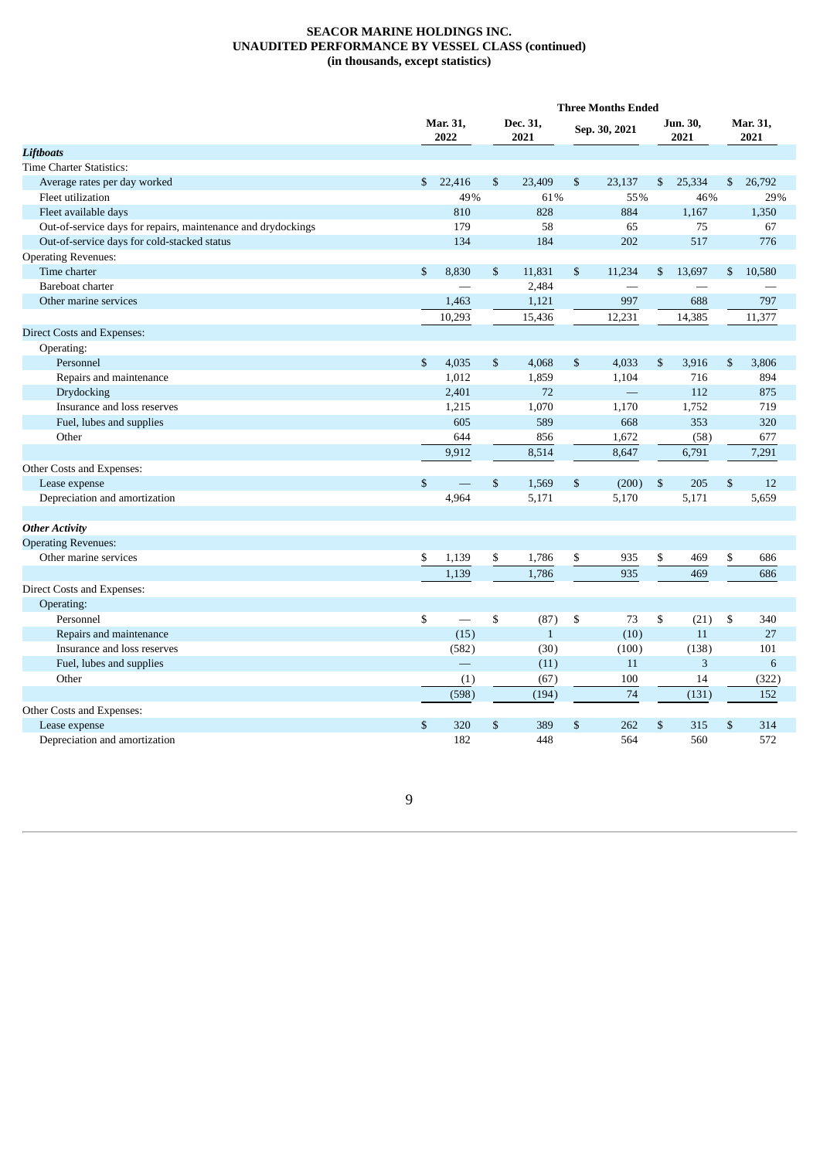### **SEACOR MARINE HOLDINGS INC. UNAUDITED PERFORMANCE BY VESSEL CLASS (continued) (in thousands, except statistics)**

|                                                              |                | <b>Three Months Ended</b> |    |                  |    |               |    |                  |    |                  |  |  |
|--------------------------------------------------------------|----------------|---------------------------|----|------------------|----|---------------|----|------------------|----|------------------|--|--|
|                                                              |                | Mar. 31,<br>2022          |    | Dec. 31,<br>2021 |    | Sep. 30, 2021 |    | Jun. 30,<br>2021 |    | Mar. 31,<br>2021 |  |  |
| <b>Liftboats</b>                                             |                |                           |    |                  |    |               |    |                  |    |                  |  |  |
| <b>Time Charter Statistics:</b>                              |                |                           |    |                  |    |               |    |                  |    |                  |  |  |
| Average rates per day worked                                 | $\mathbb{S}$   | 22,416                    | \$ | 23,409           | \$ | 23,137        | \$ | 25,334           | \$ | 26,792           |  |  |
| Fleet utilization                                            |                | 49%                       |    | 61%              |    | 55%           |    | 46%              |    | 29%              |  |  |
| Fleet available days                                         |                | 810                       |    | 828              |    | 884           |    | 1,167            |    | 1,350            |  |  |
| Out-of-service days for repairs, maintenance and drydockings |                | 179                       |    | 58               |    | 65            |    | 75               |    | 67               |  |  |
| Out-of-service days for cold-stacked status                  |                | 134                       |    | 184              |    | 202           |    | 517              |    | 776              |  |  |
| <b>Operating Revenues:</b>                                   |                |                           |    |                  |    |               |    |                  |    |                  |  |  |
| Time charter                                                 | $\mathfrak{S}$ | 8,830                     | \$ | 11,831           | \$ | 11,234        | \$ | 13,697           | \$ | 10,580           |  |  |
| Bareboat charter                                             |                |                           |    | 2,484            |    |               |    |                  |    |                  |  |  |
| Other marine services                                        |                | 1,463                     |    | 1,121            |    | 997           |    | 688              |    | 797              |  |  |
|                                                              |                | 10,293                    |    | 15,436           |    | 12,231        |    | 14,385           |    | 11,377           |  |  |
| <b>Direct Costs and Expenses:</b>                            |                |                           |    |                  |    |               |    |                  |    |                  |  |  |
| Operating:                                                   |                |                           |    |                  |    |               |    |                  |    |                  |  |  |
| Personnel                                                    | $\mathfrak{S}$ | 4,035                     | \$ | 4,068            | \$ | 4,033         | \$ | 3,916            | \$ | 3,806            |  |  |
| Repairs and maintenance                                      |                | 1,012                     |    | 1,859            |    | 1,104         |    | 716              |    | 894              |  |  |
| Drydocking                                                   |                | 2,401                     |    | 72               |    | $\equiv$      |    | 112              |    | 875              |  |  |
| Insurance and loss reserves                                  |                | 1,215                     |    | 1,070            |    | 1,170         |    | 1,752            |    | 719              |  |  |
| Fuel, lubes and supplies                                     |                | 605                       |    | 589              |    | 668           |    | 353              |    | 320              |  |  |
| Other                                                        |                | 644                       |    | 856              |    | 1,672         |    | (58)             |    | 677              |  |  |
|                                                              |                | 9,912                     |    | 8,514            |    | 8,647         |    | 6,791            |    | 7,291            |  |  |
| Other Costs and Expenses:                                    |                |                           |    |                  |    |               |    |                  |    |                  |  |  |
| Lease expense                                                | \$             |                           | \$ | 1,569            | \$ | (200)         | \$ | 205              | \$ | 12               |  |  |
| Depreciation and amortization                                |                | 4,964                     |    | 5,171            |    | 5,170         |    | 5,171            |    | 5,659            |  |  |
|                                                              |                |                           |    |                  |    |               |    |                  |    |                  |  |  |
| <b>Other Activity</b>                                        |                |                           |    |                  |    |               |    |                  |    |                  |  |  |
| <b>Operating Revenues:</b>                                   |                |                           |    |                  |    |               |    |                  |    |                  |  |  |
| Other marine services                                        | \$             | 1,139                     | \$ | 1,786            | \$ | 935           | \$ | 469              | \$ | 686              |  |  |
|                                                              |                | 1,139                     |    | 1,786            |    | 935           |    | 469              |    | 686              |  |  |
| Direct Costs and Expenses:                                   |                |                           |    |                  |    |               |    |                  |    |                  |  |  |
| Operating:                                                   |                |                           |    |                  |    |               |    |                  |    |                  |  |  |
| Personnel                                                    | \$             |                           | \$ | (87)             | \$ | 73            | \$ | (21)             | \$ | 340              |  |  |
| Repairs and maintenance                                      |                | (15)                      |    | $\mathbf{1}$     |    | (10)          |    | 11               |    | 27               |  |  |
| Insurance and loss reserves                                  |                | (582)                     |    | (30)             |    | (100)         |    | (138)            |    | 101              |  |  |
| Fuel, lubes and supplies                                     |                |                           |    | (11)             |    | 11            |    | 3                |    | 6                |  |  |
| Other                                                        |                | (1)                       |    | (67)             |    | 100           |    | 14               |    | (322)            |  |  |
|                                                              |                | (598)                     |    | (194)            |    | 74            |    | (131)            |    | 152              |  |  |
| Other Costs and Expenses:                                    |                |                           |    |                  |    |               |    |                  |    |                  |  |  |
| Lease expense                                                | \$             | 320                       | \$ | 389              | \$ | 262           | \$ | 315              | \$ | 314              |  |  |
| Depreciation and amortization                                |                | 182                       |    | 448              |    | 564           |    | 560              |    | 572              |  |  |
|                                                              |                |                           |    |                  |    |               |    |                  |    |                  |  |  |

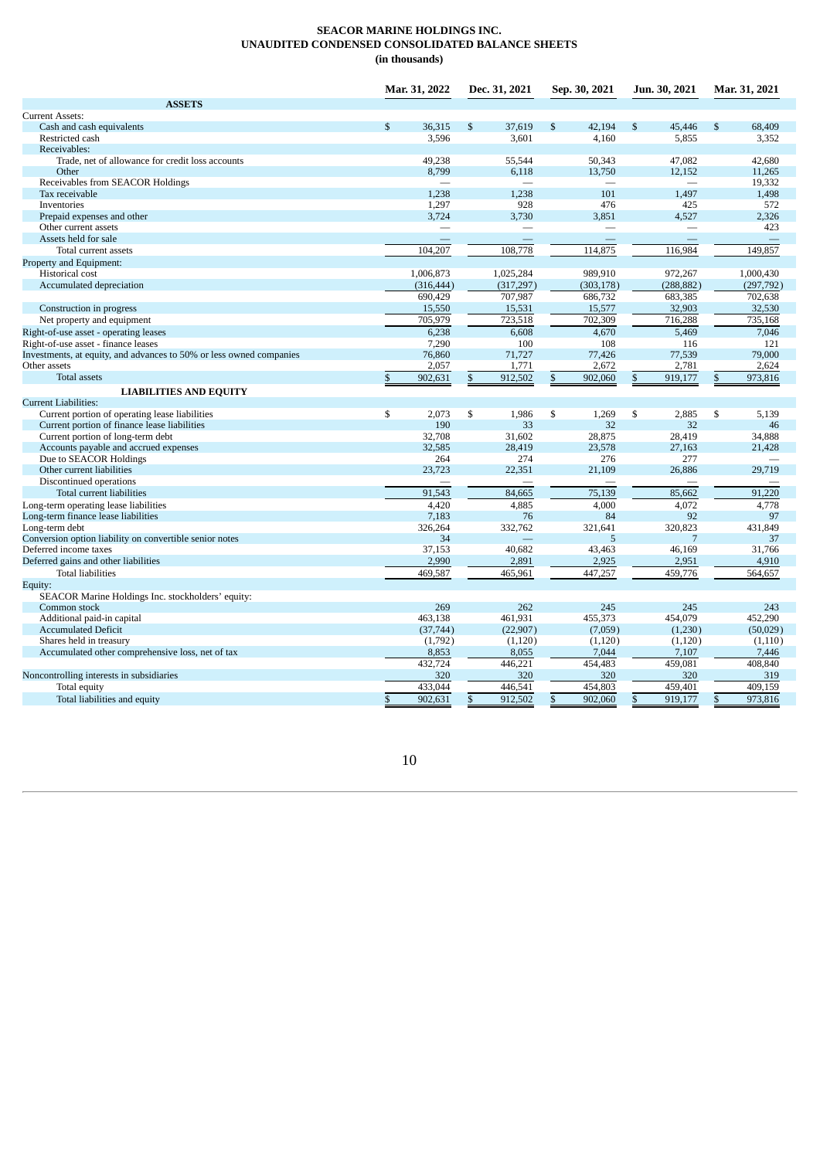#### **SEACOR MARINE HOLDINGS INC. UNAUDITED CONDENSED CONSOLIDATED BALANCE SHEETS (in thousands)**

|                                                                     | Mar. 31, 2022 | Dec. 31, 2021 | Sep. 30, 2021 |            |              |            |               |  | Jun. 30, 2021 |  | Mar. 31, 2021 |
|---------------------------------------------------------------------|---------------|---------------|---------------|------------|--------------|------------|---------------|--|---------------|--|---------------|
| <b>ASSETS</b>                                                       |               |               |               |            |              |            |               |  |               |  |               |
| <b>Current Assets:</b>                                              |               |               |               |            |              |            |               |  |               |  |               |
| Cash and cash equivalents                                           | \$<br>36,315  | \$<br>37,619  | \$            | 42,194     | \$           | 45,446     | \$<br>68,409  |  |               |  |               |
| Restricted cash                                                     | 3,596         | 3,601         |               | 4,160      |              | 5,855      | 3,352         |  |               |  |               |
| Receivables:                                                        |               |               |               |            |              |            |               |  |               |  |               |
| Trade, net of allowance for credit loss accounts                    | 49.238        | 55.544        |               | 50.343     |              | 47.082     | 42.680        |  |               |  |               |
| Other                                                               | 8,799         | 6,118         |               | 13,750     |              | 12,152     | 11,265        |  |               |  |               |
| Receivables from SEACOR Holdings                                    |               |               |               |            |              |            | 19,332        |  |               |  |               |
| Tax receivable                                                      | 1,238         | 1,238         |               | 101        |              | 1,497      | 1,498         |  |               |  |               |
| Inventories                                                         | 1,297         | 928           |               | 476        |              | 425        | 572           |  |               |  |               |
| Prepaid expenses and other                                          | 3,724         | 3,730         |               | 3,851      |              | 4,527      | 2,326         |  |               |  |               |
| Other current assets                                                |               |               |               |            |              |            | 423           |  |               |  |               |
| Assets held for sale                                                |               |               |               |            |              |            |               |  |               |  |               |
| Total current assets                                                | 104,207       | 108,778       |               | 114,875    |              | 116,984    | 149,857       |  |               |  |               |
| Property and Equipment:                                             |               |               |               |            |              |            |               |  |               |  |               |
| Historical cost                                                     | 1,006,873     | 1,025,284     |               | 989,910    |              | 972,267    | 1,000,430     |  |               |  |               |
| Accumulated depreciation                                            | (316, 444)    | (317, 297)    |               | (303, 178) |              | (288, 882) | (297, 792)    |  |               |  |               |
|                                                                     | 690,429       | 707,987       |               | 686,732    |              | 683,385    | 702,638       |  |               |  |               |
| Construction in progress                                            | 15,550        | 15,531        |               | 15,577     |              | 32,903     | 32,530        |  |               |  |               |
| Net property and equipment                                          | 705,979       | 723,518       |               | 702,309    |              | 716,288    | 735,168       |  |               |  |               |
| Right-of-use asset - operating leases                               | 6,238         | 6,608         |               | 4,670      |              | 5,469      | 7,046         |  |               |  |               |
| Right-of-use asset - finance leases                                 | 7,290         | 100           |               | 108        |              | 116        | 121           |  |               |  |               |
| Investments, at equity, and advances to 50% or less owned companies | 76,860        | 71,727        |               | 77,426     |              | 77,539     | 79,000        |  |               |  |               |
| Other assets                                                        | 2,057         | 1,771         |               | 2,672      |              | 2,781      | 2,624         |  |               |  |               |
| <b>Total assets</b>                                                 | 902,631       | \$<br>912,502 | \$            | 902,060    |              | 919,177    | 973,816       |  |               |  |               |
| <b>LIABILITIES AND EQUITY</b>                                       |               |               |               |            |              |            |               |  |               |  |               |
| <b>Current Liabilities:</b>                                         |               |               |               |            |              |            |               |  |               |  |               |
| Current portion of operating lease liabilities                      | \$<br>2,073   | \$<br>1,986   | \$            | 1,269      | \$           | 2,885      | \$<br>5,139   |  |               |  |               |
| Current portion of finance lease liabilities                        | 190           | 33            |               | 32         |              | 32         | 46            |  |               |  |               |
| Current portion of long-term debt                                   | 32,708        | 31,602        |               | 28,875     |              | 28,419     | 34,888        |  |               |  |               |
| Accounts payable and accrued expenses                               | 32,585        | 28,419        |               | 23,578     |              | 27,163     | 21,428        |  |               |  |               |
| Due to SEACOR Holdings                                              | 264           | 274           |               | 276        |              | 277        |               |  |               |  |               |
| Other current liabilities                                           | 23,723        | 22,351        |               | 21,109     |              | 26,886     | 29,719        |  |               |  |               |
| Discontinued operations                                             |               |               |               |            |              |            |               |  |               |  |               |
| Total current liabilities                                           | 91,543        | 84,665        |               | 75,139     |              | 85,662     | 91,220        |  |               |  |               |
| Long-term operating lease liabilities                               | 4,420         | 4,885         |               | 4.000      |              | 4.072      | 4.778         |  |               |  |               |
| Long-term finance lease liabilities                                 | 7,183         | 76            |               | 84         |              | 92         | 97            |  |               |  |               |
| Long-term debt                                                      | 326,264       | 332,762       |               | 321,641    |              | 320,823    | 431,849       |  |               |  |               |
| Conversion option liability on convertible senior notes             | 34            |               |               | 5          |              | 7          | 37            |  |               |  |               |
| Deferred income taxes                                               | 37,153        | 40,682        |               | 43,463     |              | 46,169     | 31,766        |  |               |  |               |
| Deferred gains and other liabilities                                | 2,990         | 2,891         |               | 2,925      |              | 2,951      | 4,910         |  |               |  |               |
| <b>Total liabilities</b>                                            | 469,587       | 465,961       |               | 447,257    |              | 459,776    | 564,657       |  |               |  |               |
| Equity:                                                             |               |               |               |            |              |            |               |  |               |  |               |
| SEACOR Marine Holdings Inc. stockholders' equity:                   |               |               |               |            |              |            |               |  |               |  |               |
| Common stock                                                        | 269           | 262           |               | 245        |              | 245        | 243           |  |               |  |               |
| Additional paid-in capital                                          | 463.138       | 461,931       |               | 455,373    |              | 454.079    | 452.290       |  |               |  |               |
| <b>Accumulated Deficit</b>                                          | (37,744)      | (22, 907)     |               | (7,059)    |              | (1,230)    | (50,029)      |  |               |  |               |
| Shares held in treasury                                             | (1,792)       | (1, 120)      |               | (1, 120)   |              | (1,120)    | (1,110)       |  |               |  |               |
| Accumulated other comprehensive loss, net of tax                    | 8,853         | 8,055         |               | 7,044      |              | 7,107      | 7,446         |  |               |  |               |
|                                                                     | 432,724       | 446,221       |               | 454,483    |              | 459,081    | 408,840       |  |               |  |               |
| Noncontrolling interests in subsidiaries                            | 320           | 320           |               | 320        |              | 320        | 319           |  |               |  |               |
| Total equity                                                        | 433,044       | 446,541       |               | 454,803    |              | 459,401    | 409,159       |  |               |  |               |
| Total liabilities and equity                                        | \$<br>902,631 | \$<br>912,502 | $\mathbb{S}$  | 902,060    | $\mathbb{S}$ | 919,177    | \$<br>973,816 |  |               |  |               |
|                                                                     |               |               |               |            |              |            |               |  |               |  |               |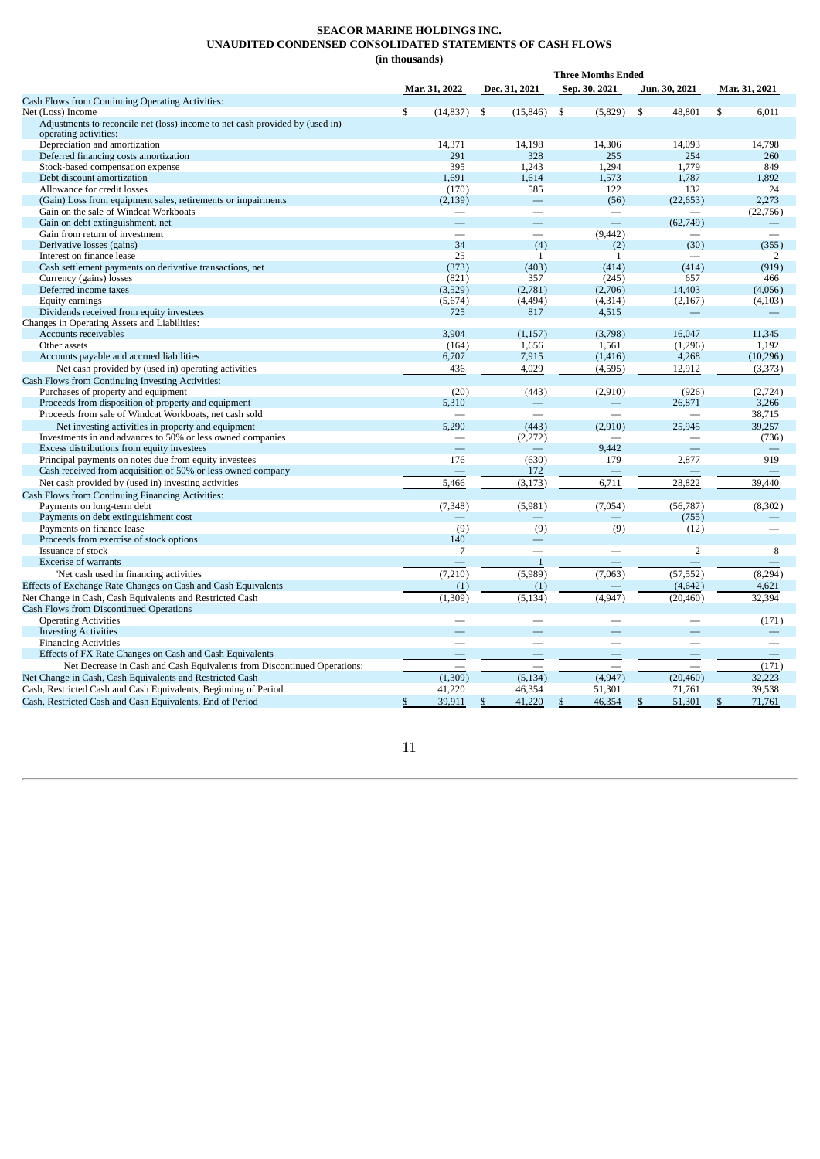#### **SEACOR MARINE HOLDINGS INC. UNAUDITED CONDENSED CONSOLIDATED STATEMENTS OF CASH FLOWS (in thousands)**

|                                                                                                       |                          |              |                          | Three Months Ended |                          |                          |    |               |  |  |  |
|-------------------------------------------------------------------------------------------------------|--------------------------|--------------|--------------------------|--------------------|--------------------------|--------------------------|----|---------------|--|--|--|
|                                                                                                       | Mar. 31, 2022            |              | Dec. 31, 2021            | Sep. 30, 2021      |                          | Jun. 30, 2021            |    | Mar. 31, 2021 |  |  |  |
| Cash Flows from Continuing Operating Activities:                                                      |                          |              |                          |                    |                          |                          |    |               |  |  |  |
| Net (Loss) Income                                                                                     | \$<br>(14, 837)          | - \$         | $(15,846)$ \$            |                    | (5,829)                  | \$<br>48,801             | \$ | 6,011         |  |  |  |
| Adjustments to reconcile net (loss) income to net cash provided by (used in)<br>operating activities: |                          |              |                          |                    |                          |                          |    |               |  |  |  |
| Depreciation and amortization                                                                         | 14,371                   |              | 14,198                   |                    | 14,306                   | 14,093                   |    | 14,798        |  |  |  |
| Deferred financing costs amortization                                                                 | 291                      |              | 328                      |                    | 255                      | 254                      |    | 260           |  |  |  |
| Stock-based compensation expense                                                                      | 395                      |              | 1,243                    |                    | 1,294                    | 1,779                    |    | 849           |  |  |  |
| Debt discount amortization                                                                            | 1.691                    |              | 1.614                    |                    | 1.573                    | 1.787                    |    | 1.892         |  |  |  |
| Allowance for credit losses                                                                           | (170)                    |              | 585                      |                    | 122                      | 132                      |    | 24            |  |  |  |
| (Gain) Loss from equipment sales, retirements or impairments                                          | (2, 139)                 |              |                          |                    | (56)                     | (22, 653)                |    | 2,273         |  |  |  |
| Gain on the sale of Windcat Workboats                                                                 |                          |              |                          |                    | $\frac{1}{2}$            |                          |    | (22,756)      |  |  |  |
| Gain on debt extinguishment, net                                                                      |                          |              |                          |                    | $\equiv$                 | (62, 749)                |    |               |  |  |  |
| Gain from return of investment                                                                        |                          |              |                          |                    | (9, 442)                 |                          |    |               |  |  |  |
| Derivative losses (gains)                                                                             | 34                       |              | (4)                      |                    | (2)                      | (30)                     |    | (355)         |  |  |  |
| Interest on finance lease                                                                             | 25                       |              | $\mathbf{1}$             |                    | $\mathbf{1}$             |                          |    | 2             |  |  |  |
| Cash settlement payments on derivative transactions, net                                              | (373)                    |              | (403)                    |                    | (414)                    | (414)                    |    | (919)         |  |  |  |
| Currency (gains) losses                                                                               | (821)                    |              | 357                      |                    | (245)                    | 657                      |    | 466           |  |  |  |
| Deferred income taxes                                                                                 | (3,529)                  |              | (2,781)                  |                    | (2,706)                  | 14,403                   |    | (4,056)       |  |  |  |
| Equity earnings                                                                                       | (5,674)                  |              | (4,494)                  |                    | (4,314)                  | (2,167)                  |    | (4,103)       |  |  |  |
| Dividends received from equity investees                                                              | 725                      |              | 817                      |                    | 4,515                    |                          |    |               |  |  |  |
| Changes in Operating Assets and Liabilities:                                                          |                          |              |                          |                    |                          |                          |    |               |  |  |  |
| Accounts receivables                                                                                  | 3,904                    |              | (1, 157)                 |                    | (3,798)                  | 16,047                   |    | 11,345        |  |  |  |
| Other assets                                                                                          | (164)                    |              | 1,656                    |                    | 1,561                    | (1,296)                  |    | 1,192         |  |  |  |
| Accounts payable and accrued liabilities                                                              | 6,707                    |              | 7,915                    |                    | (1, 416)                 | 4,268                    |    | (10,296)      |  |  |  |
| Net cash provided by (used in) operating activities                                                   | 436                      |              | 4,029                    |                    | (4,595)                  | 12,912                   |    | (3,373)       |  |  |  |
| Cash Flows from Continuing Investing Activities:                                                      |                          |              |                          |                    |                          |                          |    |               |  |  |  |
| Purchases of property and equipment                                                                   | (20)                     |              | (443)                    |                    | (2,910)                  | (926)                    |    | (2,724)       |  |  |  |
| Proceeds from disposition of property and equipment                                                   | 5,310                    |              |                          |                    |                          | 26,871                   |    | 3,266         |  |  |  |
| Proceeds from sale of Windcat Workboats, net cash sold                                                |                          |              |                          |                    |                          |                          |    | 38,715        |  |  |  |
| Net investing activities in property and equipment                                                    | 5,290                    |              | (443)                    |                    | (2,910)                  | 25.945                   |    | 39.257        |  |  |  |
| Investments in and advances to 50% or less owned companies                                            | $\overline{\phantom{0}}$ |              | (2,272)                  |                    |                          |                          |    | (736)         |  |  |  |
| Excess distributions from equity investees                                                            |                          |              |                          |                    | 9,442                    |                          |    |               |  |  |  |
| Principal payments on notes due from equity investees                                                 | 176                      |              | (630)                    |                    | 179                      | 2,877                    |    | 919           |  |  |  |
| Cash received from acquisition of 50% or less owned company                                           |                          |              | 172                      |                    |                          |                          |    |               |  |  |  |
| Net cash provided by (used in) investing activities                                                   | 5,466                    |              | (3, 173)                 |                    | 6,711                    | 28,822                   |    | 39,440        |  |  |  |
| Cash Flows from Continuing Financing Activities:                                                      |                          |              |                          |                    |                          |                          |    |               |  |  |  |
| Payments on long-term debt                                                                            | (7, 348)                 |              | (5,981)                  |                    | (7,054)                  | (56, 787)                |    | (8,302)       |  |  |  |
| Payments on debt extinguishment cost                                                                  |                          |              |                          |                    |                          | (755)                    |    |               |  |  |  |
| Payments on finance lease                                                                             | (9)                      |              | (9)                      |                    | (9)                      | (12)                     |    |               |  |  |  |
| Proceeds from exercise of stock options                                                               | 140                      |              |                          |                    |                          |                          |    |               |  |  |  |
| Issuance of stock                                                                                     | 7                        |              | $\overline{\phantom{a}}$ |                    | $\overline{\phantom{a}}$ | $\overline{2}$           |    | 8             |  |  |  |
| <b>Excerise of warrants</b>                                                                           |                          |              | $\mathbf{1}$             |                    |                          |                          |    |               |  |  |  |
| 'Net cash used in financing activities                                                                | (7,210)                  |              | (5,989)                  |                    | (7,063)                  | (57, 552)                |    | (8, 294)      |  |  |  |
| Effects of Exchange Rate Changes on Cash and Cash Equivalents                                         | (1)                      |              | (1)                      |                    |                          | (4,642)                  |    | 4,621         |  |  |  |
| Net Change in Cash, Cash Equivalents and Restricted Cash                                              | (1, 309)                 |              | (5, 134)                 |                    | (4,947)                  | (20, 460)                |    | 32,394        |  |  |  |
| <b>Cash Flows from Discontinued Operations</b>                                                        |                          |              |                          |                    |                          |                          |    |               |  |  |  |
| <b>Operating Activities</b>                                                                           |                          |              |                          |                    |                          |                          |    | (171)         |  |  |  |
| <b>Investing Activities</b>                                                                           |                          |              |                          |                    |                          |                          |    |               |  |  |  |
| <b>Financing Activities</b>                                                                           | $\overline{\phantom{0}}$ |              |                          |                    | $\sim$                   | $\overline{\phantom{0}}$ |    |               |  |  |  |
| Effects of FX Rate Changes on Cash and Cash Equivalents                                               |                          |              |                          |                    |                          |                          |    |               |  |  |  |
|                                                                                                       | ÷.                       |              |                          |                    | $\overline{\phantom{a}}$ | $\overline{\phantom{a}}$ |    |               |  |  |  |
| Net Decrease in Cash and Cash Equivalents from Discontinued Operations:                               |                          |              |                          |                    |                          |                          |    | (171)         |  |  |  |
| Net Change in Cash, Cash Equivalents and Restricted Cash                                              | (1, 309)                 |              | (5, 134)                 |                    | (4,947)                  | (20, 460)                |    | 32.223        |  |  |  |
| Cash, Restricted Cash and Cash Equivalents, Beginning of Period                                       | 41,220                   |              | 46,354                   |                    | 51,301                   | 71,761                   |    | 39,538        |  |  |  |
| Cash, Restricted Cash and Cash Equivalents, End of Period                                             | \$<br>39,911             | $\mathbb{S}$ | 41.220                   | $\mathbb{S}$       | 46.354                   | \$<br>51,301             | \$ | 71.761        |  |  |  |